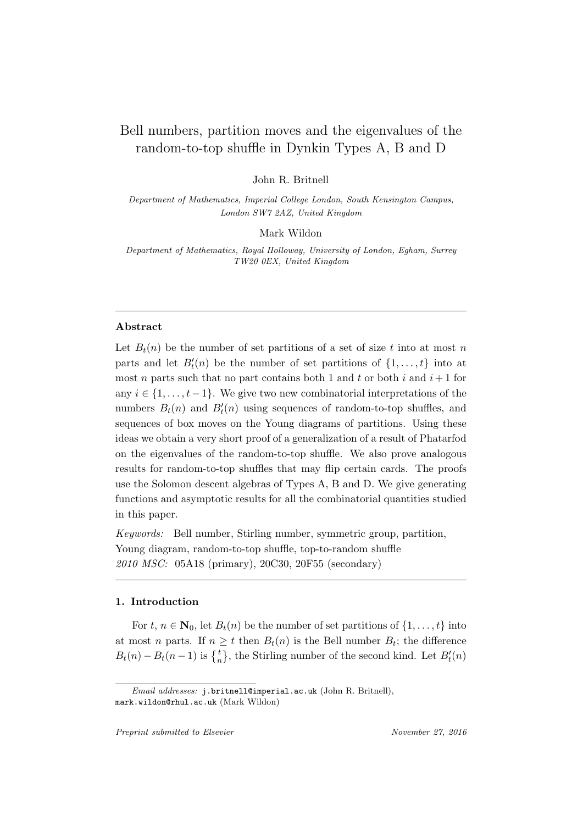# Bell numbers, partition moves and the eigenvalues of the random-to-top shuffle in Dynkin Types A, B and D

John R. Britnell

Department of Mathematics, Imperial College London, South Kensington Campus, London SW7 2AZ, United Kingdom

Mark Wildon

Department of Mathematics, Royal Holloway, University of London, Egham, Surrey TW20 0EX, United Kingdom

# Abstract

Let  $B_t(n)$  be the number of set partitions of a set of size t into at most n parts and let  $B_t'(n)$  be the number of set partitions of  $\{1, \ldots, t\}$  into at most n parts such that no part contains both 1 and t or both i and  $i+1$  for any  $i \in \{1, \ldots, t-1\}$ . We give two new combinatorial interpretations of the numbers  $B_t(n)$  and  $B'_t(n)$  using sequences of random-to-top shuffles, and sequences of box moves on the Young diagrams of partitions. Using these ideas we obtain a very short proof of a generalization of a result of Phatarfod on the eigenvalues of the random-to-top shuffle. We also prove analogous results for random-to-top shuffles that may flip certain cards. The proofs use the Solomon descent algebras of Types A, B and D. We give generating functions and asymptotic results for all the combinatorial quantities studied in this paper.

Keywords: Bell number, Stirling number, symmetric group, partition, Young diagram, random-to-top shuffle, top-to-random shuffle 2010 MSC: 05A18 (primary), 20C30, 20F55 (secondary)

### 1. Introduction

For  $t, n \in \mathbb{N}_0$ , let  $B_t(n)$  be the number of set partitions of  $\{1, \ldots, t\}$  into at most *n* parts. If  $n \geq t$  then  $B_t(n)$  is the Bell number  $B_t$ ; the difference  $B_t(n) - B_t(n-1)$  is  $\{^t_n\}$ , the Stirling number of the second kind. Let  $B'_t(n)$ 

Email addresses: j.britnell@imperial.ac.uk (John R. Britnell), mark.wildon@rhul.ac.uk (Mark Wildon)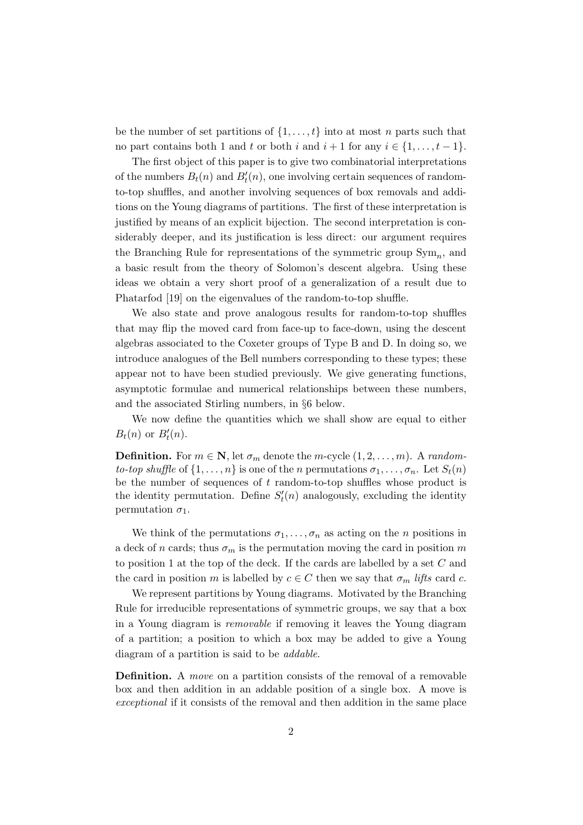be the number of set partitions of  $\{1, \ldots, t\}$  into at most n parts such that no part contains both 1 and t or both i and  $i + 1$  for any  $i \in \{1, \ldots, t-1\}$ .

The first object of this paper is to give two combinatorial interpretations of the numbers  $B_t(n)$  and  $B'_t(n)$ , one involving certain sequences of randomto-top shuffles, and another involving sequences of box removals and additions on the Young diagrams of partitions. The first of these interpretation is justified by means of an explicit bijection. The second interpretation is considerably deeper, and its justification is less direct: our argument requires the Branching Rule for representations of the symmetric group  $\text{Sym}_n$ , and a basic result from the theory of Solomon's descent algebra. Using these ideas we obtain a very short proof of a generalization of a result due to Phatarfod [19] on the eigenvalues of the random-to-top shuffle.

We also state and prove analogous results for random-to-top shuffles that may flip the moved card from face-up to face-down, using the descent algebras associated to the Coxeter groups of Type B and D. In doing so, we introduce analogues of the Bell numbers corresponding to these types; these appear not to have been studied previously. We give generating functions, asymptotic formulae and numerical relationships between these numbers, and the associated Stirling numbers, in §6 below.

We now define the quantities which we shall show are equal to either  $B_t(n)$  or  $B'_t(n)$ .

**Definition.** For  $m \in \mathbb{N}$ , let  $\sigma_m$  denote the m-cycle  $(1, 2, \ldots, m)$ . A randomto-top shuffle of  $\{1, \ldots, n\}$  is one of the n permutations  $\sigma_1, \ldots, \sigma_n$ . Let  $S_t(n)$ be the number of sequences of  $t$  random-to-top shuffles whose product is the identity permutation. Define  $S'_{t}(n)$  analogously, excluding the identity permutation  $\sigma_1$ .

We think of the permutations  $\sigma_1, \ldots, \sigma_n$  as acting on the *n* positions in a deck of n cards; thus  $\sigma_m$  is the permutation moving the card in position  $m$ to position 1 at the top of the deck. If the cards are labelled by a set  $C$  and the card in position m is labelled by  $c \in C$  then we say that  $\sigma_m$  lifts card c.

We represent partitions by Young diagrams. Motivated by the Branching Rule for irreducible representations of symmetric groups, we say that a box in a Young diagram is removable if removing it leaves the Young diagram of a partition; a position to which a box may be added to give a Young diagram of a partition is said to be addable.

Definition. A move on a partition consists of the removal of a removable box and then addition in an addable position of a single box. A move is exceptional if it consists of the removal and then addition in the same place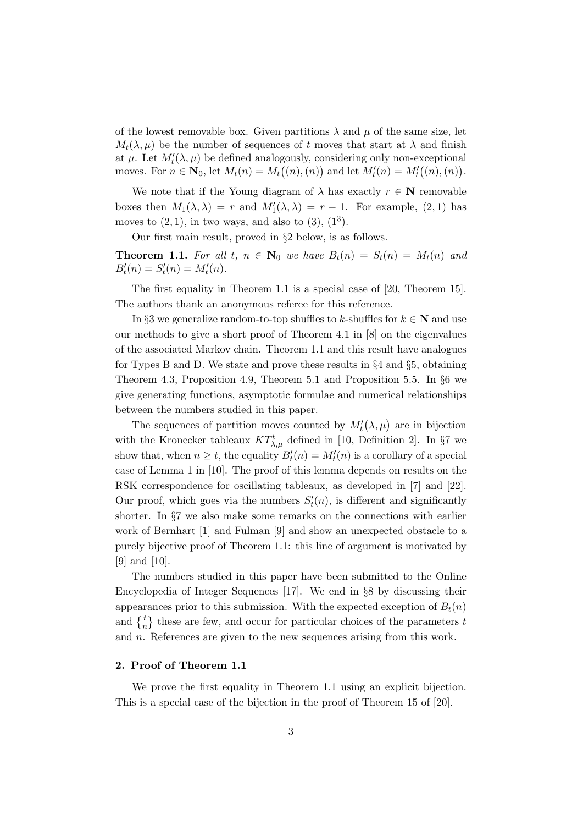of the lowest removable box. Given partitions  $\lambda$  and  $\mu$  of the same size, let  $M_t(\lambda, \mu)$  be the number of sequences of t moves that start at  $\lambda$  and finish at  $\mu$ . Let  $M'_t(\lambda, \mu)$  be defined analogously, considering only non-exceptional moves. For  $n \in \mathbb{N}_0$ , let  $M_t(n) = M_t((n), (n))$  and let  $M'_t(n) = M'_t((n), (n)).$ 

We note that if the Young diagram of  $\lambda$  has exactly  $r \in \mathbb{N}$  removable boxes then  $M_1(\lambda, \lambda) = r$  and  $M'_1(\lambda, \lambda) = r - 1$ . For example, (2, 1) has moves to  $(2, 1)$ , in two ways, and also to  $(3)$ ,  $(1^3)$ .

Our first main result, proved in §2 below, is as follows.

**Theorem 1.1.** For all t,  $n \in \mathbb{N}_0$  we have  $B_t(n) = S_t(n) = M_t(n)$  and  $B'_t(n) = S'_t(n) = M'_t(n).$ 

The first equality in Theorem 1.1 is a special case of [20, Theorem 15]. The authors thank an anonymous referee for this reference.

In §3 we generalize random-to-top shuffles to k-shuffles for  $k \in \mathbb{N}$  and use our methods to give a short proof of Theorem 4.1 in [8] on the eigenvalues of the associated Markov chain. Theorem 1.1 and this result have analogues for Types B and D. We state and prove these results in §4 and §5, obtaining Theorem 4.3, Proposition 4.9, Theorem 5.1 and Proposition 5.5. In §6 we give generating functions, asymptotic formulae and numerical relationships between the numbers studied in this paper.

The sequences of partition moves counted by  $M'_t(\lambda,\mu)$  are in bijection with the Kronecker tableaux  $KT^t_{\lambda,\mu}$  defined in [10, Definition 2]. In §7 we show that, when  $n \geq t$ , the equality  $B_t'(n) = M_t'(n)$  is a corollary of a special case of Lemma 1 in [10]. The proof of this lemma depends on results on the RSK correspondence for oscillating tableaux, as developed in [7] and [22]. Our proof, which goes via the numbers  $S'_t(n)$ , is different and significantly shorter. In §7 we also make some remarks on the connections with earlier work of Bernhart [1] and Fulman [9] and show an unexpected obstacle to a purely bijective proof of Theorem 1.1: this line of argument is motivated by [9] and [10].

The numbers studied in this paper have been submitted to the Online Encyclopedia of Integer Sequences [17]. We end in §8 by discussing their appearances prior to this submission. With the expected exception of  $B_t(n)$ and  $\begin{Bmatrix} t \\ n \end{Bmatrix}$  these are few, and occur for particular choices of the parameters t and n. References are given to the new sequences arising from this work.

### 2. Proof of Theorem 1.1

We prove the first equality in Theorem 1.1 using an explicit bijection. This is a special case of the bijection in the proof of Theorem 15 of [20].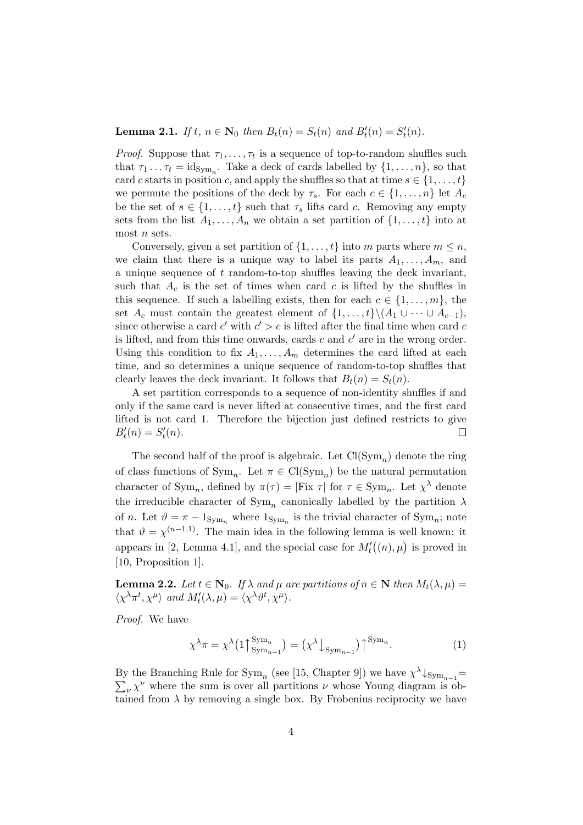# **Lemma 2.1.** If  $t, n \in \mathbb{N}_0$  then  $B_t(n) = S_t(n)$  and  $B'_t(n) = S'_t(n)$ .

*Proof.* Suppose that  $\tau_1, \ldots, \tau_t$  is a sequence of top-to-random shuffles such that  $\tau_1 \dots \tau_t = \text{id}_{\text{Sym}_n}$ . Take a deck of cards labelled by  $\{1, \dots, n\}$ , so that card c starts in position c, and apply the shuffles so that at time  $s \in \{1, \ldots, t\}$ we permute the positions of the deck by  $\tau_s$ . For each  $c \in \{1, \ldots, n\}$  let  $A_c$ be the set of  $s \in \{1, \ldots, t\}$  such that  $\tau_s$  lifts card c. Removing any empty sets from the list  $A_1, \ldots, A_n$  we obtain a set partition of  $\{1, \ldots, t\}$  into at most  $n$  sets.

Conversely, given a set partition of  $\{1, \ldots, t\}$  into m parts where  $m \leq n$ , we claim that there is a unique way to label its parts  $A_1, \ldots, A_m$ , and a unique sequence of  $t$  random-to-top shuffles leaving the deck invariant, such that  $A_c$  is the set of times when card c is lifted by the shuffles in this sequence. If such a labelling exists, then for each  $c \in \{1, \ldots, m\}$ , the set  $A_c$  must contain the greatest element of  $\{1, \ldots, t\} \setminus (A_1 \cup \cdots \cup A_{c-1}),$ since otherwise a card  $c'$  with  $c' > c$  is lifted after the final time when card  $c$ is lifted, and from this time onwards, cards  $c$  and  $c'$  are in the wrong order. Using this condition to fix  $A_1, \ldots, A_m$  determines the card lifted at each time, and so determines a unique sequence of random-to-top shuffles that clearly leaves the deck invariant. It follows that  $B_t(n) = S_t(n)$ .

A set partition corresponds to a sequence of non-identity shuffles if and only if the same card is never lifted at consecutive times, and the first card lifted is not card 1. Therefore the bijection just defined restricts to give  $B'_t(n) = S'_t(n).$  $\Box$ 

The second half of the proof is algebraic. Let  $Cl(Sym_n)$  denote the ring of class functions of  $Sym_n$ . Let  $\pi \in \text{Cl}(Sym_n)$  be the natural permutation character of  $Sym_n$ , defined by  $\pi(\tau) = |Fix \tau|$  for  $\tau \in Sym_n$ . Let  $\chi^{\lambda}$  denote the irreducible character of  $\text{Sym}_n$  canonically labelled by the partition  $\lambda$ of n. Let  $\vartheta = \pi - 1_{\text{Sym}_n}$  where  $1_{\text{Sym}_n}$  is the trivial character of  $\text{Sym}_n$ ; note that  $\vartheta = \chi^{(n-1,1)}$ . The main idea in the following lemma is well known: it appears in [2, Lemma 4.1], and the special case for  $M_t'((n), \mu)$  is proved in [10, Proposition 1].

**Lemma 2.2.** Let  $t \in \mathbb{N}_0$ . If  $\lambda$  and  $\mu$  are partitions of  $n \in \mathbb{N}$  then  $M_t(\lambda, \mu) =$  $\langle \chi^{\lambda} \pi^{t}, \chi^{\mu} \rangle$  and  $M'_{t}(\lambda, \mu) = \langle \chi^{\lambda} \vartheta^{t}, \chi^{\mu} \rangle$ .

Proof. We have

$$
\chi^{\lambda}\pi = \chi^{\lambda}\left(1\bigcap_{\text{Sym}_{n-1}}^{\text{Sym}_n}\right) = \left(\chi^{\lambda}\bigcup_{\text{Sym}_{n-1}}\right)\bigcap_{\text{Sym}_n}^{\text{Sym}_n}.\tag{1}
$$

By the Branching Rule for  $\text{Sym}_n$  (see [15, Chapter 9]) we have  $\chi^{\lambda}\downarrow_{\text{Sym}_{n-1}}=$  $\sum_{\nu} \chi^{\nu}$  where the sum is over all partitions  $\nu$  whose Young diagram is obtained from  $\lambda$  by removing a single box. By Frobenius reciprocity we have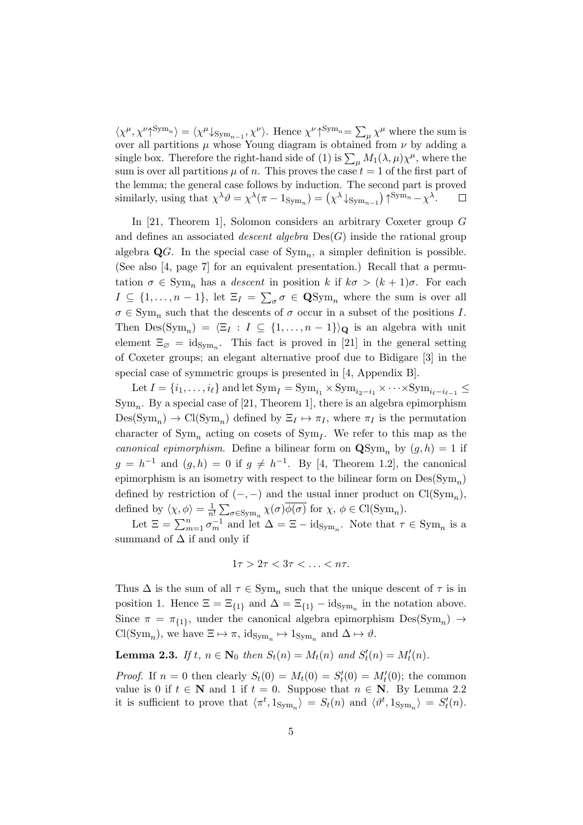$\langle \chi^{\mu}, \chi^{\nu} \gamma^{\text{Sym}_{n}} \rangle = \langle \chi^{\mu} \downarrow_{\text{Sym}_{n-1}}, \chi^{\nu} \rangle$ . Hence  $\chi^{\nu} \gamma^{\text{Sym}_{n}} = \sum_{\mu} \chi^{\mu}$  where the sum is over all partitions  $\mu$  whose Young diagram is obtained from  $\nu$  by adding a single box. Therefore the right-hand side of (1) is  $\sum_{\mu} M_1(\lambda, \mu) \chi^{\mu}$ , where the sum is over all partitions  $\mu$  of n. This proves the case  $t = 1$  of the first part of the lemma; the general case follows by induction. The second part is proved similarly, using that  $\chi^{\lambda} \vartheta = \chi^{\lambda} (\pi - 1_{\text{Sym}_n}) = (\chi^{\lambda} \downarrow_{\text{Sym}_{n-1}}) \uparrow^{\text{Sym}_n} - \chi^{\lambda}$ .  $\Box$ 

In [21, Theorem 1], Solomon considers an arbitrary Coxeter group G and defines an associated *descent algebra*  $Des(G)$  inside the rational group algebra  $\mathbf{Q}G$ . In the special case of  $\mathrm{Sym}_n$ , a simpler definition is possible. (See also [4, page 7] for an equivalent presentation.) Recall that a permutation  $\sigma \in \text{Sym}_n$  has a *descent* in position k if  $k\sigma > (k+1)\sigma$ . For each  $I \subseteq \{1,\ldots,n-1\}$ , let  $\Xi_I = \sum_{\sigma} \sigma \in \mathbf{QSym}_n$  where the sum is over all  $\sigma \in \text{Sym}_n$  such that the descents of  $\sigma$  occur in a subset of the positions I. Then  $\text{Des}(\text{Sym}_n) = \langle \Xi_I : I \subseteq \{1, \ldots, n-1\} \rangle_{\mathbf{Q}}$  is an algebra with unit element  $\Xi_{\varnothing} = \mathrm{id}_{\mathrm{Sym}_n}$ . This fact is proved in [21] in the general setting of Coxeter groups; an elegant alternative proof due to Bidigare [3] in the special case of symmetric groups is presented in [4, Appendix B].

Let  $I = \{i_1, \ldots, i_\ell\}$  and let  $\text{Sym}_I = \text{Sym}_{i_1} \times \text{Sym}_{i_2-i_1} \times \cdots \times \text{Sym}_{i_\ell-i_{\ell-1}} \leq$  $\text{Sym}_n$ . By a special case of [21, Theorem 1], there is an algebra epimorphism  $Des(Sym_n) \to Cl(Sym_n)$  defined by  $\Xi_I \mapsto \pi_I$ , where  $\pi_I$  is the permutation character of  $\text{Sym}_n$  acting on cosets of  $\text{Sym}_I$ . We refer to this map as the canonical epimorphism. Define a bilinear form on  $\mathbf{QSym}_n$  by  $(g, h) = 1$  if  $g = h^{-1}$  and  $(g,h) = 0$  if  $g \neq h^{-1}$ . By [4, Theorem 1.2], the canonical epimorphism is an isometry with respect to the bilinear form on  $\text{Des}(\text{Sym}_n)$ defined by restriction of  $(-, -)$  and the usual inner product on  $Cl(Sym_n)$ , defined by  $\langle \chi, \phi \rangle = \frac{1}{n}$  $\frac{1}{n!} \sum_{\sigma \in \text{Sym}_n} \chi(\sigma) \phi(\sigma) \text{ for } \chi, \phi \in \text{Cl}(\text{Sym}_n).$ 

Let  $\Xi = \sum_{m=1}^n \sigma_m^{-1}$  and let  $\Delta = \Xi - \mathrm{id}_{\mathrm{Sym}_n}$ . Note that  $\tau \in \mathrm{Sym}_n$  is a summand of  $\Delta$  if and only if

$$
1\tau > 2\tau < 3\tau < \ldots < n\tau.
$$

Thus  $\Delta$  is the sum of all  $\tau \in \text{Sym}_n$  such that the unique descent of  $\tau$  is in position 1. Hence  $\Xi = \Xi_{\{1\}}$  and  $\Delta = \Xi_{\{1\}} - \mathrm{id}_{\mathrm{Sym}_n}$  in the notation above. Since  $\pi = \pi_{\{1\}}$ , under the canonical algebra epimorphism  $Des(Sym_n) \rightarrow$  $\text{Cl}(\text{Sym}_n)$ , we have  $\Xi \mapsto \pi$ ,  $\text{id}_{\text{Sym}_n} \mapsto 1_{\text{Sym}_n}$  and  $\Delta \mapsto \vartheta$ .

**Lemma 2.3.** If  $t, n \in \mathbb{N}_0$  then  $S_t(n) = M_t(n)$  and  $S'_t(n) = M'_t(n)$ .

*Proof.* If  $n = 0$  then clearly  $S_t(0) = M_t(0) = S'_t(0) = M'_t(0)$ ; the common value is 0 if  $t \in \mathbb{N}$  and 1 if  $t = 0$ . Suppose that  $n \in \mathbb{N}$ . By Lemma 2.2 it is sufficient to prove that  $\langle \pi^t, 1_{\text{Sym}_n} \rangle = S_t(n)$  and  $\langle \vartheta^t, 1_{\text{Sym}_n} \rangle = S'_t(n)$ .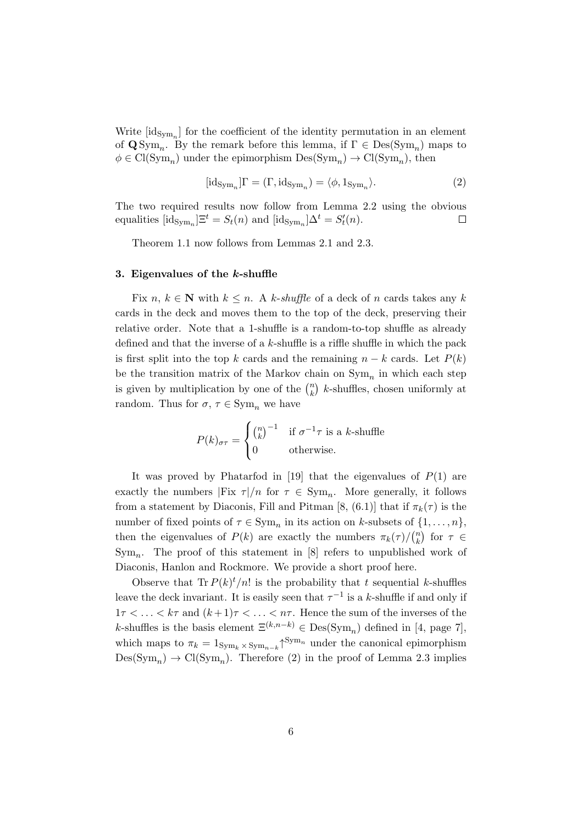Write  $[\mathrm{id}_{\mathrm{Sym}_n}]$  for the coefficient of the identity permutation in an element of  $\mathbf{Q} \text{Sym}_n$ . By the remark before this lemma, if  $\Gamma \in \text{Des}(\text{Sym}_n)$  maps to  $\phi \in \text{Cl}(\text{Sym}_n)$  under the epimorphism  $\text{Des}(\text{Sym}_n) \to \text{Cl}(\text{Sym}_n)$ , then

$$
[\mathrm{id}_{\mathrm{Sym}_n}]\Gamma = (\Gamma, \mathrm{id}_{\mathrm{Sym}_n}) = \langle \phi, 1_{\mathrm{Sym}_n} \rangle. \tag{2}
$$

The two required results now follow from Lemma 2.2 using the obvious equalities  $[\text{id}_{\text{Sym}_n}] \Xi^t = S_t(n)$  and  $[\text{id}_{\text{Sym}_n}] \Delta^t = S'_t(n)$ .  $\Box$ 

Theorem 1.1 now follows from Lemmas 2.1 and 2.3.

#### 3. Eigenvalues of the k-shuffle

Fix  $n, k \in \mathbb{N}$  with  $k \leq n$ . A k-shuffle of a deck of n cards takes any k cards in the deck and moves them to the top of the deck, preserving their relative order. Note that a 1-shuffle is a random-to-top shuffle as already defined and that the inverse of a  $k$ -shuffle is a riffle shuffle in which the pack is first split into the top k cards and the remaining  $n - k$  cards. Let  $P(k)$ be the transition matrix of the Markov chain on  $\text{Sym}_n$  in which each step is given by multiplication by one of the  $\binom{n}{k}$  $\binom{n}{k}$  k-shuffles, chosen uniformly at random. Thus for  $\sigma, \tau \in \text{Sym}_n$  we have

$$
P(k)_{\sigma\tau} = \begin{cases} \binom{n}{k}^{-1} & \text{if } \sigma^{-1}\tau \text{ is a } k\text{-shuffle} \\ 0 & \text{otherwise.} \end{cases}
$$

It was proved by Phatarfod in [19] that the eigenvalues of  $P(1)$  are exactly the numbers  $|Fix \tau|/n$  for  $\tau \in Sym_n$ . More generally, it follows from a statement by Diaconis, Fill and Pitman [8, (6.1)] that if  $\pi_k(\tau)$  is the number of fixed points of  $\tau \in \text{Sym}_n$  in its action on k-subsets of  $\{1, \ldots, n\}$ , then the eigenvalues of  $P(k)$  are exactly the numbers  $\pi_k(\tau)/\binom{n}{k}$  $\binom{n}{k}$  for  $\tau \in$  $Sym_n$ . The proof of this statement in [8] refers to unpublished work of Diaconis, Hanlon and Rockmore. We provide a short proof here.

Observe that  $\text{Tr } P(k)^t/n!$  is the probability that t sequential k-shuffles leave the deck invariant. It is easily seen that  $\tau^{-1}$  is a k-shuffle if and only if  $1\tau < \ldots < k\tau$  and  $(k+1)\tau < \ldots < n\tau$ . Hence the sum of the inverses of the k-shuffles is the basis element  $\Xi^{(k,n-k)} \in \text{Des}(\text{Sym}_n)$  defined in [4, page 7], which maps to  $\pi_k = 1_{\text{Sym}_k \times \text{Sym}_{n-k}} \uparrow^{\text{Sym}_n}$  under the canonical epimorphism  $Des(Sym_n) \to Cl(Sym_n)$ . Therefore (2) in the proof of Lemma 2.3 implies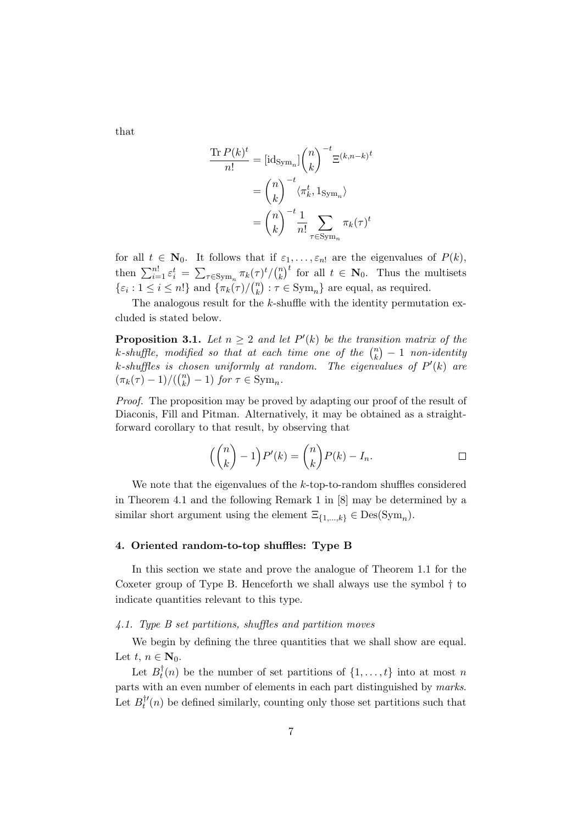that

$$
\frac{\text{Tr}\,P(k)^t}{n!} = [\text{id}_{\text{Sym}_n}] \binom{n}{k}^{-t} \Xi^{(k,n-k)^t}
$$

$$
= \binom{n}{k}^{-t} \langle \pi_k^t, 1_{\text{Sym}_n} \rangle
$$

$$
= \binom{n}{k}^{-t} \frac{1}{n!} \sum_{\tau \in \text{Sym}_n} \pi_k(\tau)^t
$$

for all  $t \in \mathbf{N}_0$ . It follows that if  $\varepsilon_1, \ldots, \varepsilon_n$  are the eigenvalues of  $P(k)$ , then  $\sum_{i=1}^{n!} \varepsilon_i^t = \sum_{\tau \in \text{Sym}_n} \pi_k(\tau)^t / \binom{n}{k}$  $\binom{n}{k}^t$  for all  $t \in \mathbb{N}_0$ . Thus the multisets  $\{\varepsilon_i : 1 \leq i \leq n!\}$  and  $\{\pi_k(\tau)/\binom{n}{k}\}$  ${k \choose k}$ :  $\tau \in \text{Sym}_n$  are equal, as required.

The analogous result for the  $k$ -shuffle with the identity permutation excluded is stated below.

**Proposition 3.1.** Let  $n \geq 2$  and let  $P'(k)$  be the transition matrix of the k-shuffle, modified so that at each time one of the  $\binom{n}{k}$  $\binom{n}{k} - 1$  non-identity k-shuffles is chosen uniformly at random. The eigenvalues of  $P'(k)$  are  $(\pi_k(\tau) - 1) / ((\binom{n}{k})$  ${k \choose k} - 1$  for  $\tau \in \text{Sym}_n$ .

Proof. The proposition may be proved by adapting our proof of the result of Diaconis, Fill and Pitman. Alternatively, it may be obtained as a straightforward corollary to that result, by observing that

$$
\left(\binom{n}{k} - 1\right) P'(k) = \binom{n}{k} P(k) - I_n.
$$

We note that the eigenvalues of the k-top-to-random shuffles considered in Theorem 4.1 and the following Remark 1 in [8] may be determined by a similar short argument using the element  $\Xi_{\{1,\ldots,k\}} \in \text{Des}(\text{Sym}_n)$ .

# 4. Oriented random-to-top shuffles: Type B

In this section we state and prove the analogue of Theorem 1.1 for the Coxeter group of Type B. Henceforth we shall always use the symbol † to indicate quantities relevant to this type.

#### 4.1. Type B set partitions, shuffles and partition moves

We begin by defining the three quantities that we shall show are equal. Let  $t, n \in \mathbb{N}_0$ .

Let  $B_t^{\dagger}$  $t_t^{\dagger}(n)$  be the number of set partitions of  $\{1,\ldots,t\}$  into at most n parts with an even number of elements in each part distinguished by marks. Let  $B_t^{\dagger}$ '  $t''(n)$  be defined similarly, counting only those set partitions such that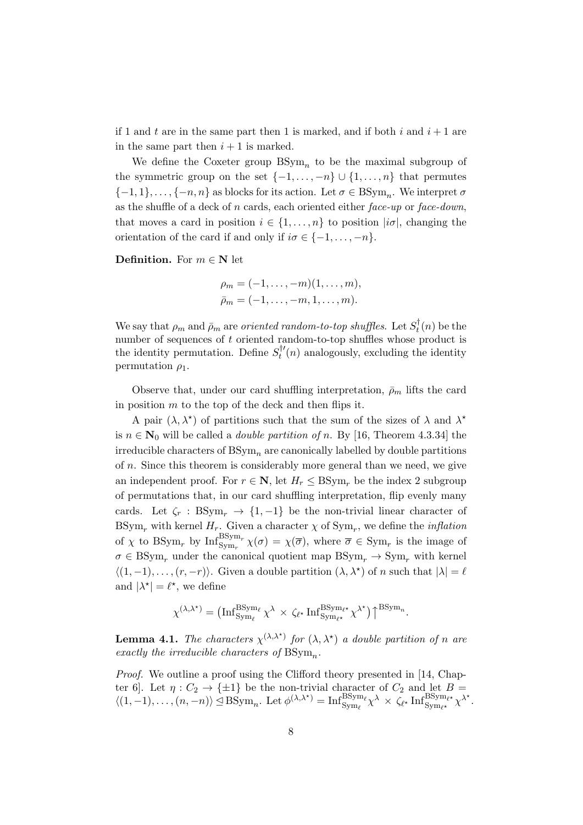if 1 and t are in the same part then 1 is marked, and if both i and  $i + 1$  are in the same part then  $i + 1$  is marked.

We define the Coxeter group  $BSym_n$  to be the maximal subgroup of the symmetric group on the set  $\{-1,\ldots,-n\} \cup \{1,\ldots,n\}$  that permutes  ${-1, 1}, \ldots, {-n, n}$  as blocks for its action. Let  $\sigma \in \text{BSym}_n$ . We interpret  $\sigma$ as the shuffle of a deck of n cards, each oriented either  $face-up$  or  $face-down$ , that moves a card in position  $i \in \{1, \ldots, n\}$  to position  $|i\sigma|$ , changing the orientation of the card if and only if  $i\sigma \in \{-1,\ldots,-n\}$ .

**Definition.** For  $m \in \mathbb{N}$  let

$$
\rho_m = (-1, \dots, -m)(1, \dots, m),
$$
  
\n
$$
\bar{\rho}_m = (-1, \dots, -m, 1, \dots, m).
$$

We say that  $\rho_m$  and  $\bar{\rho}_m$  are *oriented random-to-top shuffles*. Let  $S_t^{\dagger}$  $t^{\prime}(n)$  be the number of sequences of t oriented random-to-top shuffles whose product is the identity permutation. Define  $S_t^{\dagger}$  $t''(n)$  analogously, excluding the identity permutation  $\rho_1$ .

Observe that, under our card shuffling interpretation,  $\bar{\rho}_m$  lifts the card in position  $m$  to the top of the deck and then flips it.

A pair  $(\lambda, \lambda^*)$  of partitions such that the sum of the sizes of  $\lambda$  and  $\lambda^*$ is  $n \in \mathbb{N}_0$  will be called a *double partition of n*. By [16, Theorem 4.3.34] the irreducible characters of  $BSym_n$  are canonically labelled by double partitions of n. Since this theorem is considerably more general than we need, we give an independent proof. For  $r \in \mathbb{N}$ , let  $H_r \leq \text{BSym}_r$  be the index 2 subgroup of permutations that, in our card shuffling interpretation, flip evenly many cards. Let  $\zeta_r : BSym_r \to \{1, -1\}$  be the non-trivial linear character of  $BSym_r$  with kernel  $H_r$ . Given a character  $\chi$  of  $Sym_r$ , we define the *inflation* of  $\chi$  to BSym<sub>r</sub> by  $\text{Inf}_{\text{Sym}_r}^{\text{BSym}_r}$   $\chi(\sigma) = \chi(\overline{\sigma})$ , where  $\overline{\sigma} \in \text{Sym}_r$  is the image of  $\sigma \in \text{BSym}_{r}$  under the canonical quotient map  $\text{BSym}_{r} \to \text{Sym}_{r}$  with kernel  $\langle (1, -1), \ldots, (r, -r) \rangle$ . Given a double partition  $(\lambda, \lambda^*)$  of n such that  $|\lambda| = \ell$ and  $|\lambda^*| = \ell^*$ , we define

$$
\chi^{(\lambda,\lambda^\star)} = \big({\rm Inf}_{\rm Sym_{\ell}}^{\rm BSym_{\ell}} \chi^\lambda \, \times \, \zeta_{\ell^\star} \, {\rm Inf}_{\rm Sym_{\ell^\star}}^{\rm BSym_{\ell^\star}} \chi^{\lambda^\star} \big) \big\uparrow^{\rm BSym_n}.
$$

**Lemma 4.1.** The characters  $\chi^{(\lambda,\lambda^*)}$  for  $(\lambda,\lambda^*)$  a double partition of n are exactly the irreducible characters of  $\text{BSym}_n$ .

Proof. We outline a proof using the Clifford theory presented in [14, Chapter 6. Let  $\eta: C_2 \to {\pm 1}$  be the non-trivial character of  $C_2$  and let  $B =$  $\langle (1, -1), \ldots, (n, -n) \rangle \leq \text{BSym}_n$ . Let  $\phi^{(\lambda, \lambda^*)} = \text{Inf}_{\text{Sym}_\ell}^{\text{BSym}_\ell} \chi^\lambda \times \overline{\zeta_{\ell^*}} \text{Inf}_{\text{Sym}_{\ell^*}}^{\text{BSym}_{\ell^*}} \chi^{\lambda^*}$ .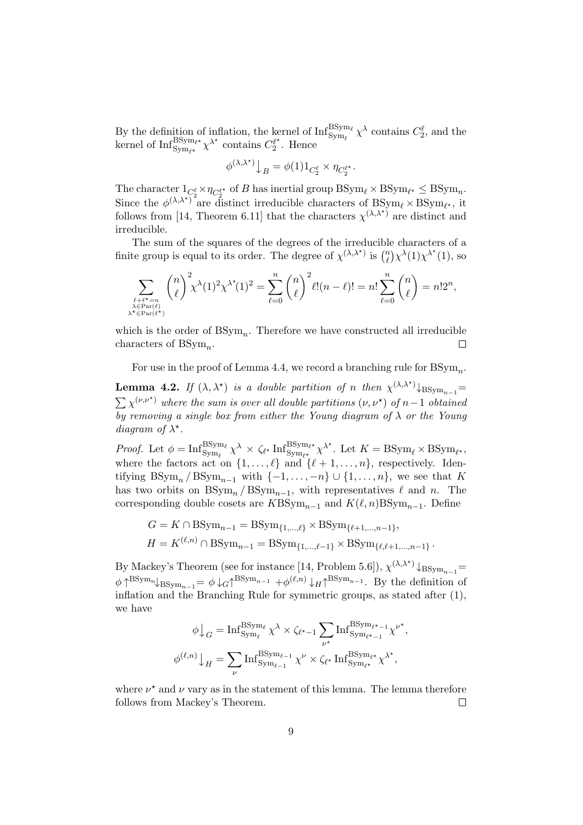By the definition of inflation, the kernel of  $\text{Inf}_{\text{Sym}_{\ell}}^{\text{BSym}_{\ell}} \chi^{\lambda}$  contains  $C_2^{\ell}$ , and the kernel of  $\text{Inf}_{\text{Sym}_{\ell^{\star}}}^{\text{BSym}_{\ell^{\star}}} \chi^{\lambda^{\star}}$  contains  $C_2^{\ell^{\star}}$  $\frac{u}{2}$ . Hence

$$
\phi^{(\lambda,\lambda^\star)}\big\downarrow_B = \phi(1)1_{C^\ell_2}\times \eta_{C^{\ell^\star}_2}.
$$

The character  $1_{C_2^{\ell}} \times \eta_{C_2^{\ell^*}}$  of B has inertial group  $BSym_{\ell} \times BSym_{\ell^*} \leq BSym_n$ . Since the  $\phi^{(\lambda,\lambda^*)^2}$  are distinct irreducible characters of  $BSym_\ell \times BSym_{\ell^*}$ , it follows from [14, Theorem 6.11] that the characters  $\chi^{(\lambda,\lambda^*)}$  are distinct and irreducible.

The sum of the squares of the degrees of the irreducible characters of a finite group is equal to its order. The degree of  $\chi^{(\lambda,\lambda^*)}$  is  $\binom{n}{\ell}$  $\binom{n}{\ell} \chi^{\lambda}(1) \chi^{\lambda^*}(1)$ , so

$$
\sum_{\substack{\ell+\ell^\star=n\\\lambda\in\operatorname{Par}(\ell)\\ \lambda^\star\in\operatorname{Par}(\ell^\star) }}\binom{n}{\ell}^2\chi^{\lambda^\star}\!(1)^2\chi^{\lambda^\star}\!(1)^2=\sum_{\ell=0}^n\binom{n}{\ell}^2\ell!(n-\ell)!=n!\sum_{\ell=0}^n\binom{n}{\ell}=n!2^n,
$$

which is the order of  $BSym_n$ . Therefore we have constructed all irreducible characters of  $BSym_n$ .  $\Box$ 

For use in the proof of Lemma 4.4, we record a branching rule for  $\mathrm{BSym}_n$ .

**Lemma 4.2.** If  $(\lambda, \lambda^*)$  is a double partition of n then  $\chi^{(\lambda, \lambda^*)}$   $\downarrow$  BS<sub>ym<sub>n-1</sub>=</sub>  $\sum \chi^{(\nu,\nu^*)}$  where the sum is over all double partitions  $(\nu,\nu^*)$  of n-1 obtained by removing a single box from either the Young diagram of  $\lambda$  or the Young diagram of  $\lambda^*$ .

Proof. Let  $\phi = \text{Inf}_{\text{Sym}_{\ell}}^{\text{BSym}_{\ell}} \chi^{\lambda} \times \zeta_{\ell^{\star}} \text{Inf}_{\text{Sym}_{\ell^{\star}}}^{\text{BSym}_{\ell^{\star}}} \chi^{\lambda^{\star}}$ . Let  $K = \text{BSym}_{\ell} \times \text{BSym}_{\ell^{\star}}$ , where the factors act on  $\{1, \ldots, \ell\}$  and  $\{\ell + 1, \ldots, n\}$ , respectively. Identifying  $BSym_n / BSym_{n-1}$  with  $\{-1, \ldots, -n\} \cup \{1, \ldots, n\}$ , we see that K has two orbits on  $BSym_n / BSym_{n-1}$ , with representatives  $\ell$  and n. The corresponding double cosets are  $KBSym_{n-1}$  and  $K(\ell, n)BSym_{n-1}$ . Define

$$
G = K \cap \text{BSym}_{n-1} = \text{BSym}_{\{1,\dots,\ell\}} \times \text{BSym}_{\{\ell+1,\dots,n-1\}},
$$
  

$$
H = K^{(\ell,n)} \cap \text{BSym}_{n-1} = \text{BSym}_{\{1,\dots,\ell-1\}} \times \text{BSym}_{\{\ell,\ell+1,\dots,n-1\}}.
$$

By Mackey's Theorem (see for instance [14, Problem 5.6]),  $\chi^{(\lambda,\lambda^*)}$   $\downarrow$ BSym<sub>n-1</sub>=  $\phi \uparrow^{BSym_n} \downarrow_{BSym_{n-1}} = \phi \downarrow_G \uparrow^{BSym_{n-1}} + \phi^{(\ell,n)} \downarrow_H \uparrow^{BSym_{n-1}}$ . By the definition of inflation and the Branching Rule for symmetric groups, as stated after (1), we have

$$
\phi \downarrow_G = \mathrm{Inf}_{\mathrm{Sym}_\ell}^{\mathrm{BSym}_\ell} \chi^\lambda \times \zeta_{\ell^{\star}-1} \sum_{\nu^{\star}} \mathrm{Inf}_{\mathrm{Sym}_{\ell^{\star}-1}}^{\mathrm{BSym}_{\ell^{\star}-1}} \chi^{\nu^{\star}},
$$

$$
\phi^{(\ell,n)} \downarrow_H = \sum_{\nu} \mathrm{Inf}_{\mathrm{Sym}_{\ell-1}}^{\mathrm{BSym}_{\ell}} \chi^\nu \times \zeta_{\ell^{\star}} \mathrm{Inf}_{\mathrm{Sym}_{\ell^{\star}}}^{\mathrm{BSym}_{\ell^{\star}}} \chi^{\lambda^{\star}},
$$

where  $\nu^*$  and  $\nu$  vary as in the statement of this lemma. The lemma therefore follows from Mackey's Theorem.  $\Box$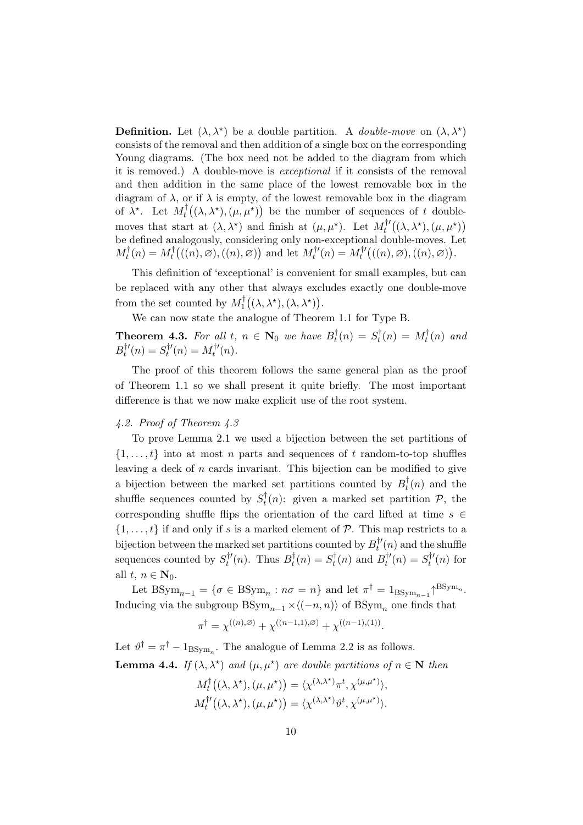**Definition.** Let  $(\lambda, \lambda^*)$  be a double partition. A *double-move* on  $(\lambda, \lambda^*)$ consists of the removal and then addition of a single box on the corresponding Young diagrams. (The box need not be added to the diagram from which it is removed.) A double-move is exceptional if it consists of the removal and then addition in the same place of the lowest removable box in the diagram of  $\lambda$ , or if  $\lambda$  is empty, of the lowest removable box in the diagram of  $\bar{\lambda}^*$ . Let  $M_t^{\dagger}$  $t^{\dagger}((\lambda, \lambda^{\star}), (\mu, \mu^{\star}))$  be the number of sequences of t doublemoves that start at  $(\lambda, \lambda^*)$  and finish at  $(\mu, \mu^*)$ . Let  $M_t^{\dagger}$  $t^{\dagger\prime}\big((\lambda,\lambda^\star),(\mu,\mu^\star)\big)$ be defined analogously, considering only non-exceptional double-moves. Let  $M_t^\dagger$  $t^{\dagger}(n) = M_t^{\dagger}$  $\mathcal{H}_t^{\dagger}((n), \varnothing), ((n), \varnothing))$  and let  $M_t^{\dagger}$  $t^{ \dagger \prime}(n) = M_t^{ \dagger \prime}$  $t^{ \dagger \prime } \big( ((n), \varnothing), ((n), \varnothing) \big).$ 

This definition of 'exceptional' is convenient for small examples, but can be replaced with any other that always excludes exactly one double-move from the set counted by  $M_1^{\dagger}$  $\int_1^{\dagger} \bigl( (\lambda,\lambda^{\star}),(\lambda,\lambda^{\star}) \bigr).$ 

We can now state the analogue of Theorem 1.1 for Type B.

**Theorem 4.3.** For all t,  $n \in \mathbb{N}_0$  we have  $B_t^{\dagger}$  $s_t^{\dagger}(n) = S_t^{\dagger}$  $\int_t^{\dagger}(n) = M_t^{\dagger}$  $t^{\dagger}(n)$  and  $B_{t}^{\dagger}{}'$  $s_t^{\dagger\prime}(n)=S_t^{\dagger\prime}$  $\int_t^{\dagger} f(n) = M_t^{\dagger}$  $t'(n)$ .

The proof of this theorem follows the same general plan as the proof of Theorem 1.1 so we shall present it quite briefly. The most important difference is that we now make explicit use of the root system.

# 4.2. Proof of Theorem 4.3

To prove Lemma 2.1 we used a bijection between the set partitions of  $\{1, \ldots, t\}$  into at most n parts and sequences of t random-to-top shuffles leaving a deck of  $n$  cards invariant. This bijection can be modified to give a bijection between the marked set partitions counted by  $B_t^{\dagger}$  $t<sub>t</sub><sup>t</sup>(n)$  and the shuffle sequences counted by  $S_t^{\dagger}$  $t^{\dagger}(n)$ : given a marked set partition  $P$ , the corresponding shuffle flips the orientation of the card lifted at time  $s \in \mathbb{R}$  $\{1, \ldots, t\}$  if and only if s is a marked element of  $P$ . This map restricts to a bijection between the marked set partitions counted by  $B_t^{\dagger}$  $t''(n)$  and the shuffle sequences counted by  $S_t^{\dagger}$  $t^{t'}(n)$ . Thus  $B_t^{\dagger}$  $s_t^{\dagger}(n) = S_t^{\dagger}$  $g_t^{\dagger}(n)$  and  $B_t^{\dagger}$  $S_t^{\dagger\prime}(n)=S_t^{\dagger\prime}$  $t''(n)$  for all  $t, n \in \mathbf{N}_0$ .

Let  $\text{BSym}_{n-1} = \{ \sigma \in \text{BSym}_n : n\sigma = n \}$  and let  $\pi^{\dagger} = 1_{\text{BSym}_{n-1}} \uparrow^{\text{BSym}_n}$ . Inducing via the subgroup  $BSym_{n-1} \times \langle(-n, n)\rangle$  of  $BSym_n$  one finds that

$$
\pi^{\dagger} = \chi^{((n),\varnothing)} + \chi^{((n-1,1),\varnothing)} + \chi^{((n-1),(1))}.
$$

Let  $\vartheta^{\dagger} = \pi^{\dagger} - 1_{\text{BSym}_n}$ . The analogue of Lemma 2.2 is as follows. **Lemma 4.4.** If  $(\lambda, \lambda^*)$  and  $(\mu, \mu^*)$  are double partitions of  $n \in \mathbb{N}$  then

$$
M_t^{\dagger}((\lambda, \lambda^{\star}), (\mu, \mu^{\star})) = \langle \chi^{(\lambda, \lambda^{\star})} \pi^t, \chi^{(\mu, \mu^{\star})} \rangle, M_t^{\dagger \prime}((\lambda, \lambda^{\star}), (\mu, \mu^{\star})) = \langle \chi^{(\lambda, \lambda^{\star})} \vartheta^t, \chi^{(\mu, \mu^{\star})} \rangle.
$$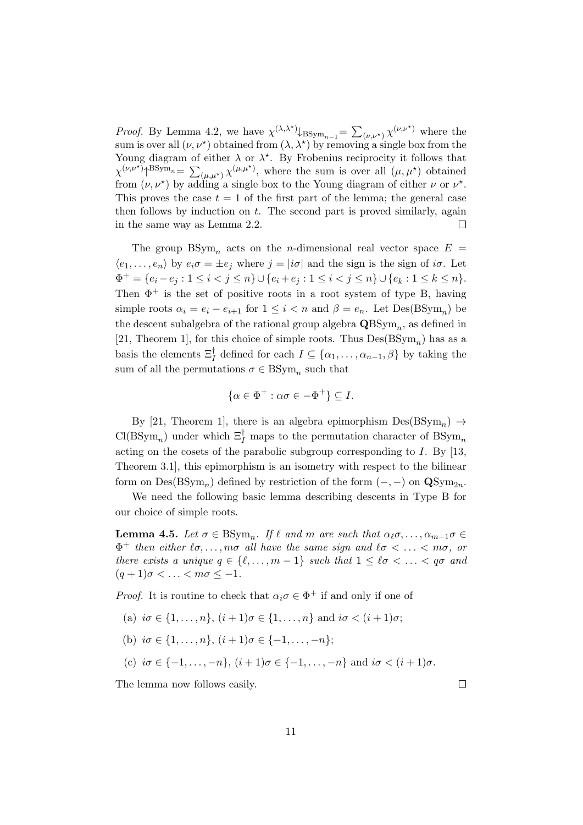*Proof.* By Lemma 4.2, we have  $\chi^{(\lambda,\lambda^*)}$  $\downarrow$ BS<sub>ym<sub>n-1</sub></sub> =  $\sum_{(\nu,\nu^*)} \chi^{(\nu,\nu^*)}$  where the sum is over all  $(\nu, \nu^*)$  obtained from  $(\lambda, \lambda^*)$  by removing a single box from the Young diagram of either  $\lambda$  or  $\lambda^*$ . By Frobenius reciprocity it follows that  $\chi^{(\nu,\nu^*)}$ <sup>N</sup><sup>BSym<sub>n</sub> =  $\sum_{(\mu,\mu^*)} \chi^{(\mu,\mu^*)}$ , where the sum is over all  $(\mu,\mu^*)$  obtained</sup> from  $(\nu, \nu^*)$  by adding a single box to the Young diagram of either  $\nu$  or  $\nu^*$ . This proves the case  $t = 1$  of the first part of the lemma; the general case then follows by induction on  $t$ . The second part is proved similarly, again in the same way as Lemma 2.2.  $\Box$ 

The group  $BSym_n$  acts on the *n*-dimensional real vector space  $E =$  $\langle e_1, \ldots, e_n \rangle$  by  $e_i \sigma = \pm e_j$  where  $j = |i\sigma|$  and the sign is the sign of  $i\sigma$ . Let  $\Phi^+ = \{e_i - e_j : 1 \leq i < j \leq n\} \cup \{e_i + e_j : 1 \leq i < j \leq n\} \cup \{e_k : 1 \leq k \leq n\}.$ Then  $\Phi^+$  is the set of positive roots in a root system of type B, having simple roots  $\alpha_i = e_i - e_{i+1}$  for  $1 \leq i < n$  and  $\beta = e_n$ . Let  $\text{Des(BSym}_n)$  be the descent subalgebra of the rational group algebra  $\text{QBSym}_n$ , as defined in [21, Theorem 1], for this choice of simple roots. Thus  $Des(BSym_n)$  has as a basis the elements  $\Xi_I^{\dagger}$  defined for each  $I \subseteq {\{\alpha_1, \ldots, \alpha_{n-1}, \beta\}}$  by taking the sum of all the permutations  $\sigma \in \text{BSym}_n$  such that

$$
\{\alpha \in \Phi^+ : \alpha \sigma \in -\Phi^+\} \subseteq I.
$$

By [21, Theorem 1], there is an algebra epimorphism  $Des(BSym_n) \rightarrow$  $\text{Cl}(\text{BSym}_n)$  under which  $\Xi_I^{\dagger}$  maps to the permutation character of  $\text{BSym}_n$ acting on the cosets of the parabolic subgroup corresponding to I. By [13, Theorem 3.1], this epimorphism is an isometry with respect to the bilinear form on  $\mathrm{Des}(\mathrm{BSym}_n)$  defined by restriction of the form  $(-, -)$  on  $\mathbf{Q}\mathrm{Sym}_{2n}$ .

We need the following basic lemma describing descents in Type B for our choice of simple roots.

**Lemma 4.5.** Let  $\sigma \in \text{BSym}_n$ . If  $\ell$  and m are such that  $\alpha_{\ell}\sigma, \ldots, \alpha_{m-1}\sigma \in$  $\Phi^+$  then either  $\ell \sigma, \ldots, m \sigma$  all have the same sign and  $\ell \sigma < \ldots < m \sigma$ , or there exists a unique  $q \in \{\ell, \ldots, m-1\}$  such that  $1 \leq \ell \sigma < \ldots < q\sigma$  and  $(q+1)\sigma < \ldots < m\sigma \leq -1.$ 

*Proof.* It is routine to check that  $\alpha_i \sigma \in \Phi^+$  if and only if one of

- (a)  $i\sigma \in \{1, ..., n\}, (i+1)\sigma \in \{1, ..., n\}$  and  $i\sigma < (i+1)\sigma$ ;
- (b)  $i\sigma \in \{1, \ldots, n\}, (i+1)\sigma \in \{-1, \ldots, -n\};$
- (c)  $i\sigma \in \{-1, \ldots, -n\}, \ (i+1)\sigma \in \{-1, \ldots, -n\}$  and  $i\sigma < (i+1)\sigma$ .

The lemma now follows easily.

 $\Box$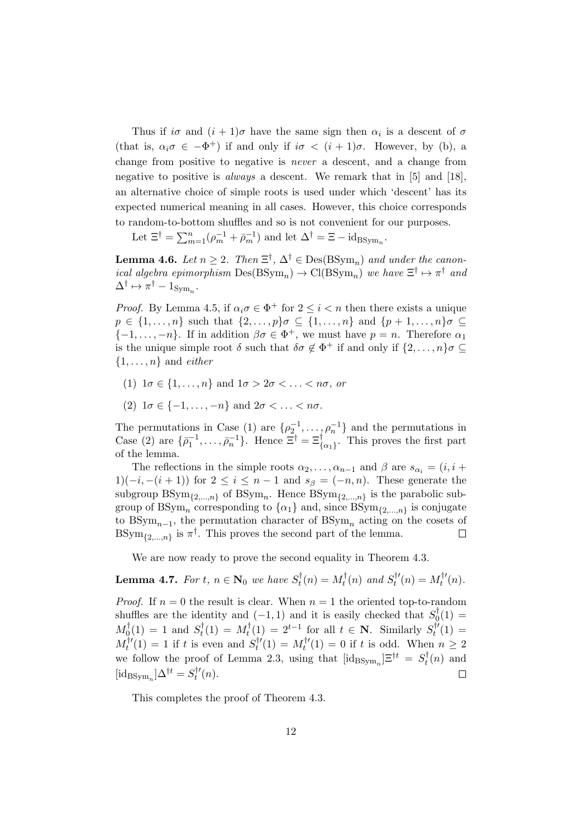Thus if  $i\sigma$  and  $(i + 1)\sigma$  have the same sign then  $\alpha_i$  is a descent of  $\sigma$ (that is,  $\alpha_i \sigma \in -\Phi^+$ ) if and only if  $i\sigma < (i+1)\sigma$ . However, by (b), a change from positive to negative is never a descent, and a change from negative to positive is always a descent. We remark that in [5] and [18], an alternative choice of simple roots is used under which 'descent' has its expected numerical meaning in all cases. However, this choice corresponds to random-to-bottom shuffles and so is not convenient for our purposes.

Let  $\Xi^{\dagger} = \sum_{m=1}^{n} (\rho_m^{-1} + \bar{\rho}_m^{-1})$  and let  $\Delta^{\dagger} = \Xi - \mathrm{id}_{\mathrm{BSym}_n}$ .

**Lemma 4.6.** Let  $n \geq 2$ . Then  $\Xi^{\dagger}$ ,  $\Delta^{\dagger} \in \text{Des}(\text{BSym}_n)$  and under the canonical algebra epimorphism  $Des(BSym_n) \to Cl(BSym_n)$  we have  $\Xi^{\dagger} \mapsto \pi^{\dagger}$  and  $\Delta^{\dagger} \mapsto \pi^{\dagger} - 1_{\text{Sym}_n}.$ 

*Proof.* By Lemma 4.5, if  $\alpha_i \sigma \in \Phi^+$  for  $2 \leq i < n$  then there exists a unique  $p \in \{1, \ldots, n\}$  such that  $\{2, \ldots, p\}$   $\sigma \subseteq \{1, \ldots, n\}$  and  $\{p+1, \ldots, n\}$   $\sigma \subseteq$  $\{-1,\ldots,-n\}$ . If in addition  $\beta\sigma \in \Phi^+$ , we must have  $p=n$ . Therefore  $\alpha_1$ is the unique simple root  $\delta$  such that  $\delta \sigma \notin \Phi^+$  if and only if  $\{2,\ldots,n\}$  $\{1, \ldots, n\}$  and *either* 

- (1)  $1\sigma \in \{1,\ldots,n\}$  and  $1\sigma > 2\sigma < \ldots < n\sigma$ , or
- (2)  $1\sigma \in \{-1,\ldots,-n\}$  and  $2\sigma < \ldots < n\sigma$ .

The permutations in Case (1) are  $\{\rho_2^{-1}, \ldots, \rho_n^{-1}\}$  and the permutations in Case (2) are  $\{\bar{\rho}_1^{-1}, \ldots, \bar{\rho}_n^{-1}\}$ . Hence  $\Xi^{\dagger} = \Xi_{\{\alpha_1\}}^{\dagger}$ . This proves the first part of the lemma.

The reflections in the simple roots  $\alpha_2, \ldots, \alpha_{n-1}$  and  $\beta$  are  $s_{\alpha_i} = (i, i +$ 1)( $-i, -(i + 1)$ ) for  $2 \le i \le n - 1$  and  $s_{\beta} = (-n, n)$ . These generate the subgroup  $BSym_{\{2,\ldots,n\}}$  of  $BSym_n$ . Hence  $BSym_{\{2,\ldots,n\}}$  is the parabolic subgroup of BSym<sub>n</sub> corresponding to  $\{\alpha_1\}$  and, since  $BSym_{\{2,...,n\}}$  is conjugate to  $BSym_{n-1}$ , the permutation character of  $BSym_n$  acting on the cosets of BSym<sub>{2,...,n}</sub> is  $\pi^{\dagger}$ . This proves the second part of the lemma.  $\Box$ 

We are now ready to prove the second equality in Theorem 4.3.

**Lemma 4.7.** For  $t, n \in \mathbf{N}_0$  we have  $S_t^{\dagger}$  $u_t^{\dagger}(n) = M_t^{\dagger}$  $f_t^{\dagger}(n)$  and  $S_t^{\dagger}$  $y_t^{\dagger}{}'(n) = M_t^{\dagger}{}'$  $t'(n)$ .

*Proof.* If  $n = 0$  the result is clear. When  $n = 1$  the oriented top-to-random shuffles are the identity and  $(-1,1)$  and it is easily checked that  $S_0^{\dagger}$  $C_0^1(1) =$  $M_0^{\dagger}$  $S_t^{\dagger}(1) = 1$  and  $S_t^{\dagger}$  $y_t^{\dagger}(1) = M_t^{\dagger}$  $t_t^{\dagger}(1) = 2^{t-1}$  for all  $t \in \mathbb{N}$ . Similarly  $S_t^{\dagger}$  $t''(1) =$  $M_t^{\dagger}{}'$  $t_t^{\dagger}$ <sup> $\mathbf{t}'(1) = 1$  if t is even and  $S_t^{\dagger}$ <sup> $\mathbf{t}'(1)$ </sup></sup>  $t_1^{\dagger}{}'(1) = M_t^{\dagger}{}'$  $t_l^{r}(1) = 0$  if t is odd. When  $n \geq 2$ we follow the proof of Lemma 2.3, using that  $[\text{id}_{BSym_n}] \Xi^{\dagger t} = S_t^{\dagger}$  $t^{\intercal}(n)$  and  $[\mathrm{id}_{\mathrm{BSym}_n}]\Delta^{\dagger t} = S_t^{\dagger t}$  $\Box$  $t''(n).$ 

This completes the proof of Theorem 4.3.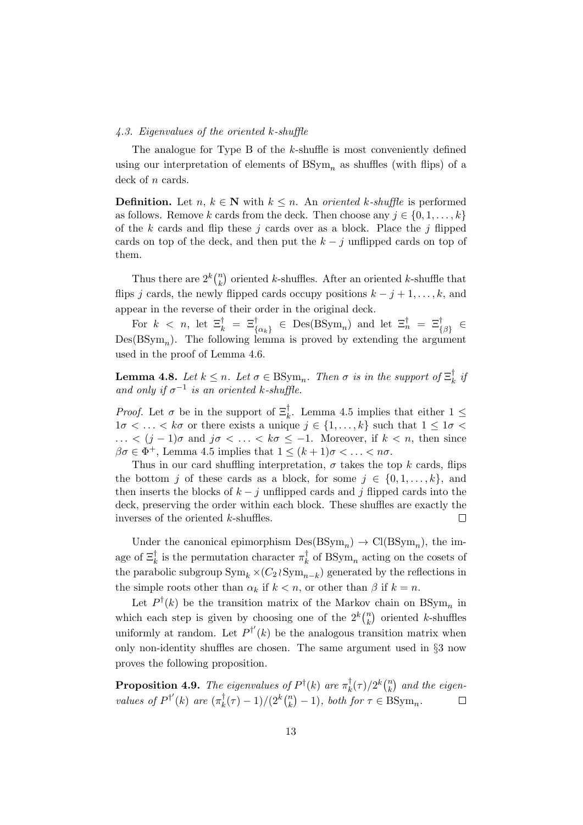#### 4.3. Eigenvalues of the oriented k-shuffle

The analogue for Type B of the k-shuffle is most conveniently defined using our interpretation of elements of  $BSym_n$  as shuffles (with flips) of a deck of *n* cards.

**Definition.** Let  $n, k \in \mathbb{N}$  with  $k \leq n$ . An oriented k-shuffle is performed as follows. Remove k cards from the deck. Then choose any  $j \in \{0, 1, \ldots, k\}$ of the k cards and flip these j cards over as a block. Place the j flipped cards on top of the deck, and then put the  $k - j$  unflipped cards on top of them.

Thus there are  $2^k\binom{n}{k}$  $\binom{n}{k}$  oriented k-shuffles. After an oriented k-shuffle that flips j cards, the newly flipped cards occupy positions  $k - j + 1, \ldots, k$ , and appear in the reverse of their order in the original deck.

For  $k < n$ , let  $\Xi_k^{\dagger} = \Xi_{\{\alpha_k\}}^{\dagger} \in \mathrm{Des}(\mathrm{BSym}_n)$  and let  $\Xi_n^{\dagger} = \Xi_{\{\beta\}}^{\dagger} \in$  $Des(BSym_n)$ . The following lemma is proved by extending the argument used in the proof of Lemma 4.6.

**Lemma 4.8.** Let  $k \leq n$ . Let  $\sigma \in \text{BSym}_n$ . Then  $\sigma$  is in the support of  $\Xi_k^{\dagger}$  $\frac{1}{k}$  ij and only if  $\sigma^{-1}$  is an oriented k-shuffle.

*Proof.* Let  $\sigma$  be in the support of  $\Xi_k^{\dagger}$ . Lemma 4.5 implies that either  $1 \leq$  $1\sigma < \ldots < k\sigma$  or there exists a unique  $j \in \{1, \ldots, k\}$  such that  $1 \leq 1\sigma <$ ... <  $(j-1)\sigma$  and  $j\sigma$  < ... <  $k\sigma$  ≤ −1. Moreover, if  $k$  < n, then since  $\beta \sigma \in \Phi^+$ , Lemma 4.5 implies that  $1 \leq (k+1)\sigma < \ldots < n\sigma$ .

Thus in our card shuffling interpretation,  $\sigma$  takes the top k cards, flips the bottom j of these cards as a block, for some  $j \in \{0, 1, \ldots, k\}$ , and then inserts the blocks of  $k - i$  unflipped cards and j flipped cards into the deck, preserving the order within each block. These shuffles are exactly the inverses of the oriented k-shuffles.  $\Box$ 

Under the canonical epimorphism  $Des(BSym_n) \to Cl(BSym_n)$ , the image of  $\Xi_k^{\dagger}$  is the permutation character  $\pi_k^{\dagger}$  $k \atop k$  of BSym<sub>n</sub> acting on the cosets of the parabolic subgroup  $\text{Sym}_k \times (C_2 \wr \text{Sym}_{n-k})$  generated by the reflections in the simple roots other than  $\alpha_k$  if  $k < n$ , or other than  $\beta$  if  $k = n$ .

Let  $P^{\dagger}(k)$  be the transition matrix of the Markov chain on  $BSym_n$  in which each step is given by choosing one of the  $2^k\binom{n}{k}$  $\binom{n}{k}$  oriented k-shuffles uniformly at random. Let  $P^{d'}(k)$  be the analogous transition matrix when only non-identity shuffles are chosen. The same argument used in §3 now proves the following proposition.

**Proposition 4.9.** The eigenvalues of  $P^{\dagger}(k)$  are  $\pi^{\dagger}_k$  $\int\limits_k^{\uparrow}(\tau)/2^k\binom nk$  $\binom{n}{k}$  and the eigenvalues of  $P^{\dagger'}(k)$  are  $(\pi_k^{\dagger})$  $(\frac{\dagger}{k}(\tau)-1)/(2^k\binom nk$  ${k \choose k} - 1$ , both for  $\tau \in \text{BSym}_n$ .  $\Box$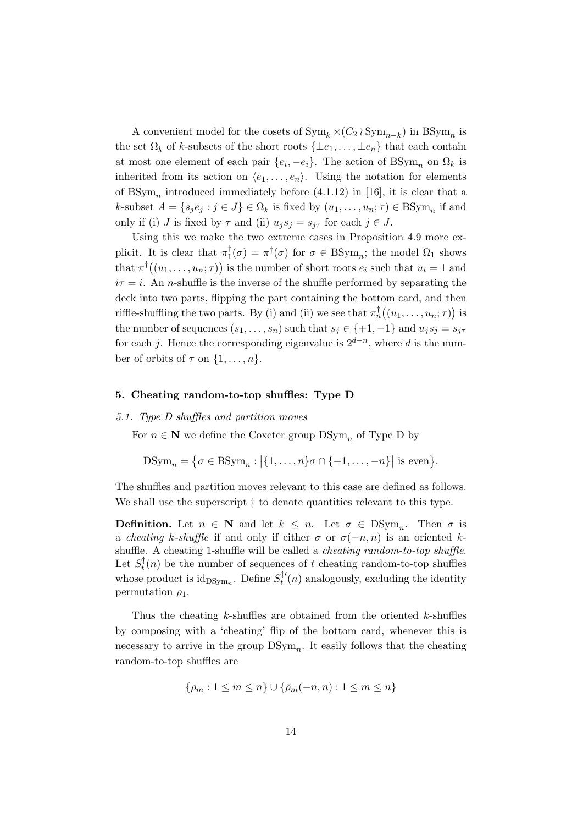A convenient model for the cosets of  $\text{Sym}_k \times (C_2 \wr \text{Sym}_{n-k})$  in  $\text{BSym}_n$  is the set  $\Omega_k$  of k-subsets of the short roots  $\{\pm e_1, \ldots, \pm e_n\}$  that each contain at most one element of each pair  $\{e_i, -e_i\}$ . The action of  $\text{BSym}_n$  on  $\Omega_k$  is inherited from its action on  $\langle e_1, \ldots, e_n \rangle$ . Using the notation for elements of  $BSym_n$  introduced immediately before  $(4.1.12)$  in [16], it is clear that a k-subset  $A = \{s_j e_j : j \in J\} \in \Omega_k$  is fixed by  $(u_1, \ldots, u_n; \tau) \in \text{BSym}_n$  if and only if (i) J is fixed by  $\tau$  and (ii)  $u_j s_j = s_{j\tau}$  for each  $j \in J$ .

Using this we make the two extreme cases in Proposition 4.9 more explicit. It is clear that  $\pi_1^{\dagger}$  $\mathcal{L}_1^{\dagger}(\sigma) = \pi^{\dagger}(\sigma)$  for  $\sigma \in \text{BSym}_n$ ; the model  $\Omega_1$  shows that  $\pi^{\dagger}((u_1,\ldots,u_n;\tau))$  is the number of short roots  $e_i$  such that  $u_i=1$  and  $i\tau = i$ . An *n*-shuffle is the inverse of the shuffle performed by separating the deck into two parts, flipping the part containing the bottom card, and then riffle-shuffling the two parts. By (i) and (ii) we see that  $\pi_n^{\dagger}((u_1,\ldots,u_n;\tau))$  is the number of sequences  $(s_1, \ldots, s_n)$  such that  $s_j \in \{+1, -1\}$  and  $u_j s_j = s_{j\tau}$ for each j. Hence the corresponding eigenvalue is  $2^{d-n}$ , where d is the number of orbits of  $\tau$  on  $\{1, \ldots, n\}$ .

#### 5. Cheating random-to-top shuffles: Type D

#### 5.1. Type D shuffles and partition moves

For  $n \in \mathbb{N}$  we define the Coxeter group  $DSym_n$  of Type D by

DSym<sub>n</sub> = {
$$
\sigma \in \text{BSym}_n : | \{1, ..., n\} \sigma \cap \{-1, ..., -n\} | \text{ is even} \}.
$$

The shuffles and partition moves relevant to this case are defined as follows. We shall use the superscript  $\ddagger$  to denote quantities relevant to this type.

**Definition.** Let  $n \in \mathbb{N}$  and let  $k \leq n$ . Let  $\sigma \in \text{DSym}_n$ . Then  $\sigma$  is a cheating k-shuffle if and only if either  $\sigma$  or  $\sigma(-n, n)$  is an oriented kshuffle. A cheating 1-shuffle will be called a cheating random-to-top shuffle. Let  $S_t^{\ddagger}$  $t<sub>t</sub>(n)$  be the number of sequences of t cheating random-to-top shuffles whose product is  $id_{DSym_n}$ . Define  $S_t^{\ddag}$  $t_t^{\mu'}(n)$  analogously, excluding the identity permutation  $\rho_1$ .

Thus the cheating  $k$ -shuffles are obtained from the oriented  $k$ -shuffles by composing with a 'cheating' flip of the bottom card, whenever this is necessary to arrive in the group  $DSym_n$ . It easily follows that the cheating random-to-top shuffles are

$$
\{\rho_m: 1 \le m \le n\} \cup \{\bar{\rho}_m(-n, n): 1 \le m \le n\}
$$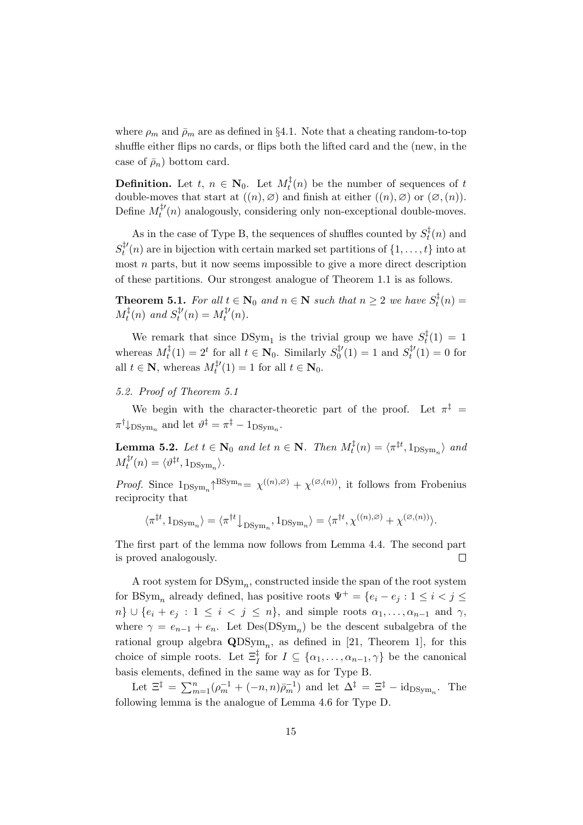where  $\rho_m$  and  $\bar{\rho}_m$  are as defined in §4.1. Note that a cheating random-to-top shuffle either flips no cards, or flips both the lifted card and the (new, in the case of  $\bar{\rho}_n$ ) bottom card.

**Definition.** Let  $t, n \in \mathbb{N}_0$ . Let  $M_t^{\ddagger}$  $t_t^{(1)}(n)$  be the number of sequences of t double-moves that start at  $((n), \emptyset)$  and finish at either  $((n), \emptyset)$  or  $(\emptyset, (n))$ . Define  $M_t^{\ddag t}$  $t^{(1)}(n)$  analogously, considering only non-exceptional double-moves.

As in the case of Type B, the sequences of shuffles counted by  $S_t^{\ddagger}$  $t^4$ (n) and  $S_t^{\ddag}$  $t^{(t)}(n)$  are in bijection with certain marked set partitions of  $\{1,\ldots,t\}$  into at most n parts, but it now seems impossible to give a more direct description of these partitions. Our strongest analogue of Theorem 1.1 is as follows.

**Theorem 5.1.** For all  $t \in \mathbb{N}_0$  and  $n \in \mathbb{N}$  such that  $n \geq 2$  we have  $S_t^{\ddagger}$  $t_t^{(4)}(n) =$  $M_t^{\ddagger}$  $f_t^{\ddag}(n)$  and  $S_t^{\ddag}$  $u_t^{\ddag t}(n) = M_t^{\ddag t}$  $t'(n)$ .

We remark that since  $DSym_1$  is the trivial group we have  $S_t^{\ddagger}$  $t^4(t) = 1$ whereas  $M_t^{\ddag}$  $t_t^{\ddagger}(1) = 2^t$  for all  $t \in \mathbb{N}_0$ . Similarly  $S_0^{\ddagger}$  $S_t^{\ddag \prime}(1) = 1$  and  $S_t^{\ddag \prime}$  $t^{(4)}(1) = 0$  for all  $t \in \mathbf{N}$ , whereas  $M_t^{\ddagger}$  $t^{(1)}(1) = 1$  for all  $t \in \mathbf{N}_0$ .

# 5.2. Proof of Theorem 5.1

We begin with the character-theoretic part of the proof. Let  $\pi^{\ddagger}$  =  $\pi^{\dagger}$   $\downarrow$  DS<sub>ym<sub>n</sub></sub> and let  $\vartheta^{\ddagger} = \pi^{\ddagger} - 1_{\text{DSym}_n}$ .

**Lemma 5.2.** Let  $t \in \mathbb{N}_0$  and let  $n \in \mathbb{N}$ . Then  $M_t^{\ddagger}$  $t_t^{\ddagger}(n) = \langle \pi^{\ddagger t}, 1_{\text{DSym}_n} \rangle$  and  $M_t^{\ddag}{}'$  $t^{t'}(n) = \langle \vartheta^{\ddagger t}, 1_{\text{DSym}_n} \rangle.$ 

*Proof.* Since  $1_{DSym_n} \uparrow^{BSym_n} = \chi^{((n),\varnothing)} + \chi^{(\varnothing,(n))}$ , it follows from Frobenius reciprocity that

$$
\langle \pi^{\ddagger t}, 1_{\text{DSym}_n} \rangle = \langle \pi^{\dagger t} \big|_{\text{DSym}_n}, 1_{\text{DSym}_n} \rangle = \langle \pi^{\dagger t}, \chi^{((n), \varnothing)} + \chi^{(\varnothing, (n))} \rangle.
$$

The first part of the lemma now follows from Lemma 4.4. The second part is proved analogously.  $\Box$ 

A root system for  $DSym_n$ , constructed inside the span of the root system for BSym<sub>n</sub> already defined, has positive roots  $\Psi^+ = \{e_i - e_j : 1 \leq i < j \leq j\}$  $n\} \cup \{e_i + e_j : 1 \leq i < j \leq n\}$ , and simple roots  $\alpha_1, \ldots, \alpha_{n-1}$  and  $\gamma$ , where  $\gamma = e_{n-1} + e_n$ . Let  $Des(DSym_n)$  be the descent subalgebra of the rational group algebra  $\text{QDSym}_n$ , as defined in [21, Theorem 1], for this choice of simple roots. Let  $\Xi_I^{\ddagger}$  for  $I \subseteq {\{\alpha_1, \ldots, \alpha_{n-1}, \gamma\}}$  be the canonical basis elements, defined in the same way as for Type B.

Let  $\Xi^{\ddagger} = \sum_{m=1}^{n} (\rho_m^{-1} + (-n, n)\bar{\rho}_m^{-1})$  and let  $\Delta^{\ddagger} = \Xi^{\ddagger} - id_{\text{DSym}_n}$ . The following lemma is the analogue of Lemma 4.6 for Type D.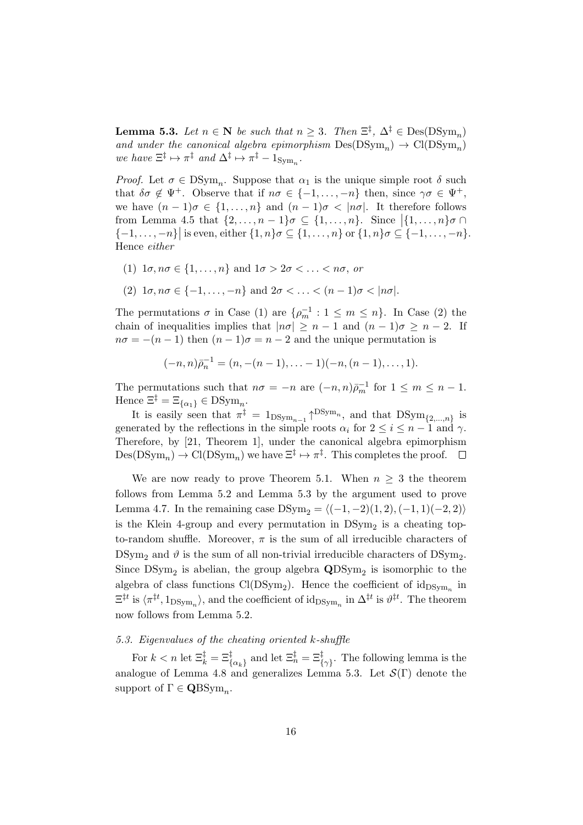**Lemma 5.3.** Let  $n \in \mathbb{N}$  be such that  $n \geq 3$ . Then  $\Xi^{\ddagger}$ ,  $\Delta^{\ddagger} \in \text{Des}(\text{DSym}_n)$ and under the canonical algebra epimorphism  $Des(DSym_n) \rightarrow Cl(DSym_n)$ we have  $\Xi^{\ddagger} \mapsto \pi^{\ddagger}$  and  $\Delta^{\ddagger} \mapsto \pi^{\ddagger} - 1_{\text{Sym}_n}$ .

*Proof.* Let  $\sigma \in \text{DSym}_n$ . Suppose that  $\alpha_1$  is the unique simple root  $\delta$  such that  $\delta \sigma \notin \Psi^+$ . Observe that if  $n\sigma \in \{-1,\ldots,-n\}$  then, since  $\gamma \sigma \in \Psi^+$ , we have  $(n-1)\sigma \in \{1,\ldots,n\}$  and  $(n-1)\sigma < |n\sigma|$ . It therefore follows from Lemma 4.5 that  $\{2, \ldots, n-1\}$   $\sigma \subseteq \{1, \ldots, n\}$ . Since  $\left[\{1, \ldots, n\}$   $\sigma \cap \{1, \ldots, n\}$  $\{-1,\ldots,-n\}$  is even, either  $\{1,n\}\sigma \subseteq \{1,\ldots,n\}$  or  $\{1,n\}\sigma \subseteq \{-1,\ldots,-n\}$ . Hence either

- (1)  $1\sigma, n\sigma \in \{1,\ldots,n\}$  and  $1\sigma > 2\sigma < \ldots < n\sigma$ , or
- (2)  $1\sigma, n\sigma \in \{-1,\ldots,-n\}$  and  $2\sigma < \ldots < (n-1)\sigma < |n\sigma|$ .

The permutations  $\sigma$  in Case (1) are  $\{\rho_m^{-1} : 1 \leq m \leq n\}$ . In Case (2) the chain of inequalities implies that  $|n\sigma| \geq n-1$  and  $(n-1)\sigma \geq n-2$ . If  $n\sigma = -(n-1)$  then  $(n-1)\sigma = n-2$  and the unique permutation is

$$
(-n, n)\bar{p}_n^{-1} = (n, -(n-1), \ldots -1)(-n, (n-1), \ldots, 1).
$$

The permutations such that  $n\sigma = -n$  are  $(-n, n)\bar{p}_m^{-1}$  for  $1 \leq m \leq n-1$ . Hence  $\Xi^{\ddagger} = \Xi_{\{\alpha_1\}} \in \mathrm{DSym}_n$ .

It is easily seen that  $\pi^{\ddagger} = 1_{DSym_{n-1}} \uparrow^{DSym_n}$ , and that  $DSym_{\{2,\ldots,n\}}$  is generated by the reflections in the simple roots  $\alpha_i$  for  $2 \le i \le n-1$  and  $\gamma$ . Therefore, by [21, Theorem 1], under the canonical algebra epimorphism  $Des(DSym_n) \to Cl(DSym_n)$  we have  $\Xi^{\ddagger} \mapsto \pi^{\ddagger}$ . This completes the proof.

We are now ready to prove Theorem 5.1. When  $n > 3$  the theorem follows from Lemma 5.2 and Lemma 5.3 by the argument used to prove Lemma 4.7. In the remaining case  $DSym_2 = \langle (-1, -2)(1, 2), (-1, 1)(-2, 2) \rangle$ is the Klein 4-group and every permutation in  $DSym<sub>2</sub>$  is a cheating topto-random shuffle. Moreover,  $\pi$  is the sum of all irreducible characters of  $DSym<sub>2</sub>$  and  $\vartheta$  is the sum of all non-trivial irreducible characters of  $DSym<sub>2</sub>$ . Since  $DSym_2$  is abelian, the group algebra  $QDSym_2$  is isomorphic to the algebra of class functions  $Cl(DSym_2)$ . Hence the coefficient of  $id_{DSym_n}$  in  $\Xi^{\ddagger t}$  is  $\langle \pi^{\ddagger t}, 1_{\text{DSym}_n} \rangle$ , and the coefficient of  $\mathrm{id}_{\text{DSym}_n}$  in  $\Delta^{\ddagger t}$  is  $\vartheta^{\ddagger t}$ . The theorem now follows from Lemma 5.2.

# 5.3. Eigenvalues of the cheating oriented k-shuffle

For  $k < n$  let  $\Xi_k^{\ddagger} = \Xi_{\{\alpha_k\}}^{\ddagger}$  and let  $\Xi_n^{\ddagger} = \Xi_{\{\gamma\}}^{\ddagger}$ . The following lemma is the analogue of Lemma 4.8 and generalizes Lemma 5.3. Let  $\mathcal{S}(\Gamma)$  denote the support of  $\Gamma \in \mathbf{Q}\text{BSym}_n$ .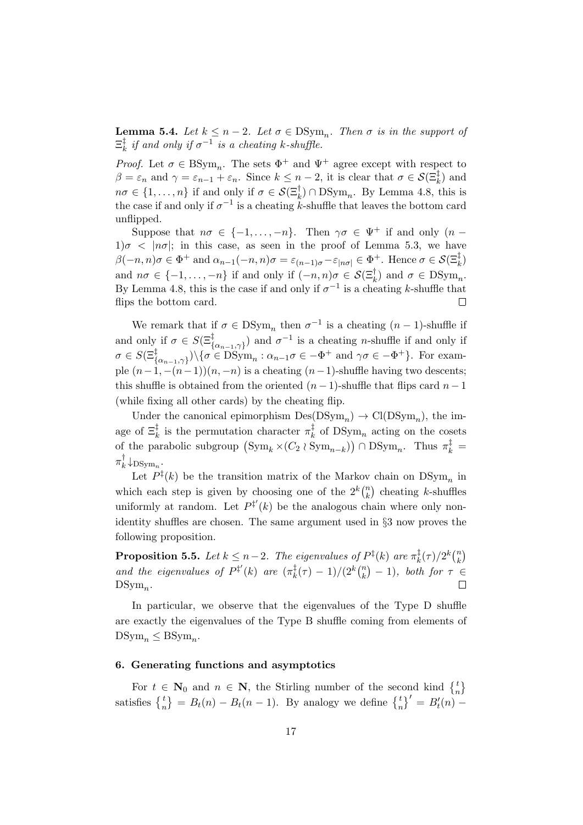**Lemma 5.4.** Let  $k \leq n-2$ . Let  $\sigma \in \text{DSym}_n$ . Then  $\sigma$  is in the support of  $\Xi_k^\ddag$  $\frac{1}{k}$  if and only if  $\sigma^{-1}$  is a cheating k-shuffle.

*Proof.* Let  $\sigma \in \text{BSym}_n$ . The sets  $\Phi^+$  and  $\Psi^+$  agree except with respect to  $\beta = \varepsilon_n$  and  $\gamma = \varepsilon_{n-1} + \varepsilon_n$ . Since  $k \leq n-2$ , it is clear that  $\sigma \in \mathcal{S}(\Xi_k^{\ddagger})$  and  $n\sigma \in \{1,\ldots,n\}$  if and only if  $\sigma \in \mathcal{S}(\Xi_k^{\dagger}) \cap \text{DSym}_n$ . By Lemma 4.8, this is the case if and only if  $\sigma^{-1}$  is a cheating k-shuffle that leaves the bottom card unflipped.

Suppose that  $n\sigma \in \{-1,\ldots,-n\}$ . Then  $\gamma\sigma \in \Psi^+$  if and only  $(n-\sigma)$  $1\sigma < |n\sigma|$ ; in this case, as seen in the proof of Lemma 5.3, we have  $\beta(-n, n)\sigma \in \Phi^+$  and  $\alpha_{n-1}(-n, n)\sigma = \varepsilon_{(n-1)\sigma} - \varepsilon_{|n\sigma|} \in \Phi^+$ . Hence  $\sigma \in \mathcal{S}(\Xi_k^{\ddagger})$ and  $n\sigma \in \{-1,\ldots,-n\}$  if and only if  $(-n,n)\sigma \in \mathcal{S}(\Xi_k^{\dagger})$  and  $\sigma \in \text{DSym}_n$ . By Lemma 4.8, this is the case if and only if  $\sigma^{-1}$  is a cheating k-shuffle that flips the bottom card.  $\Box$ 

We remark that if  $\sigma \in \text{DSym}_n$  then  $\sigma^{-1}$  is a cheating  $(n-1)$ -shuffle if and only if  $\sigma \in S(\Xi_{\{\alpha_{n-1},\gamma\}}^{\dagger})$  and  $\sigma^{-1}$  is a cheating *n*-shuffle if and only if  $\sigma \in S(\Xi_{\{\alpha_{n-1},\gamma\}}^{\dagger}) \setminus {\sigma \in \mathrm{DSym}}_n : \alpha_{n-1}\sigma \in -\Phi^+ \text{ and } \gamma\sigma \in -\Phi^+ \}.$  For example  $(n-1, -(n-1))(n, -n)$  is a cheating  $(n-1)$ -shuffle having two descents; this shuffle is obtained from the oriented  $(n-1)$ -shuffle that flips card  $n-1$ (while fixing all other cards) by the cheating flip.

Under the canonical epimorphism  $Des(DSym_n) \rightarrow Cl(DSym_n)$ , the image of  $\Xi_k^{\ddagger}$  is the permutation character  $\pi_k^{\ddagger}$  $\frac{1}{k}$  of DSym<sub>n</sub> acting on the cosets of the parabolic subgroup  $(\mathrm{Sym}_k \times (C_2 \wr \mathrm{Sym}_{n-k})) \cap \mathrm{DSym}_n$ . Thus  $\pi_k^{\ddagger} =$  $\pi_k^\dagger$  $\big\downarrow_k$   $\downarrow$ DSym<sub>n</sub>.

Let  $P^{\ddagger}(k)$  be the transition matrix of the Markov chain on  $DSym_n$  in which each step is given by choosing one of the  $2^k\binom{n}{k}$  $\binom{n}{k}$  cheating k-shuffles uniformly at random. Let  $P^{\ddagger'}(k)$  be the analogous chain where only nonidentity shuffles are chosen. The same argument used in §3 now proves the following proposition.

**Proposition 5.5.** Let  $k \leq n-2$ . The eigenvalues of  $P^{\ddagger}(k)$  are  $\pi^{\ddagger}_k$  $\frac{1}{k}(\tau)/2^k\binom nk$  $\binom{n}{k}$ and the eigenvalues of  $P^{\ddagger'}(k)$  are  $(\pi_k^{\ddagger})$  $(\frac{1}{k}(\tau) - 1)/(2^k {n \choose k}$  $\binom{n}{k}$  – 1), both for  $\tau \in$  $DSym_n$ .

In particular, we observe that the eigenvalues of the Type D shuffle are exactly the eigenvalues of the Type B shuffle coming from elements of  $DSym_n \leq BSym_n$ .

### 6. Generating functions and asymptotics

For  $t \in \mathbb{N}_0$  and  $n \in \mathbb{N}$ , the Stirling number of the second kind  $\begin{Bmatrix} t \\ n \end{Bmatrix}$ satisfies  $\begin{Bmatrix} t \\ n \end{Bmatrix} = B_t(n) - B_t(n-1)$ . By analogy we define  $\begin{Bmatrix} t \\ n \end{Bmatrix}^t = B_t'(n) -$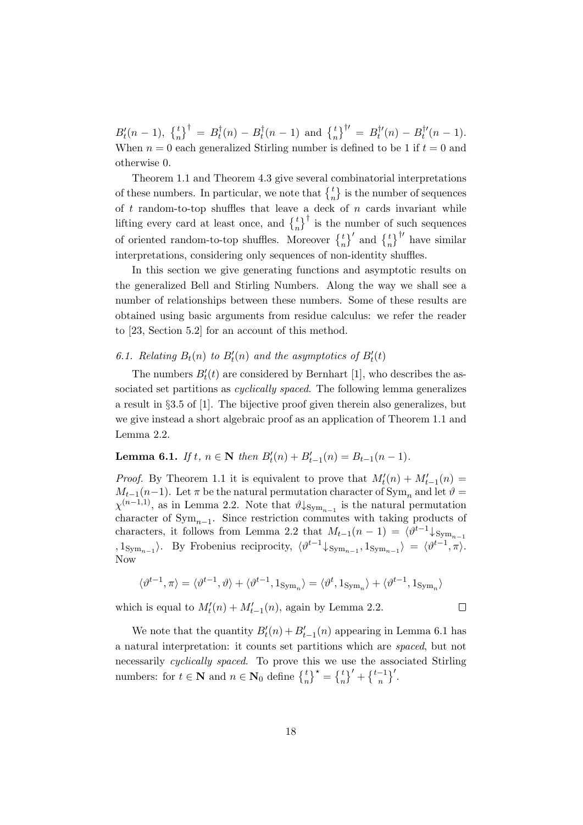$B_t'(n-1), \; \left\{\frac{t}{n}\right\}^{\dagger} \; = \; B_t^{\dagger}$  $t_t^{\dagger}(n) - B_t^{\dagger}$  $t_t^{\dagger}(n-1)$  and  $\begin{Bmatrix} t \\ n \end{Bmatrix}^{\dagger} = B_t^{\dagger}$  $b_t^{\dagger \prime}(n) - B_t^{\dagger \prime}$  $t^{r}(n-1).$ When  $n = 0$  each generalized Stirling number is defined to be 1 if  $t = 0$  and otherwise 0.

Theorem 1.1 and Theorem 4.3 give several combinatorial interpretations of these numbers. In particular, we note that  $\{^t_n\}$  is the number of sequences of  $t$  random-to-top shuffles that leave a deck of  $n$  cards invariant while lifting every card at least once, and  $\begin{bmatrix} t \\ n \end{bmatrix}^{\dagger}$  is the number of such sequences of oriented random-to-top shuffles. Moreover  $\begin{bmatrix} t \\ n \end{bmatrix}^{\prime}$  and  $\begin{bmatrix} t \\ n \end{bmatrix}^{\dagger}$  have similar interpretations, considering only sequences of non-identity shuffles.

In this section we give generating functions and asymptotic results on the generalized Bell and Stirling Numbers. Along the way we shall see a number of relationships between these numbers. Some of these results are obtained using basic arguments from residue calculus: we refer the reader to [23, Section 5.2] for an account of this method.

# 6.1. Relating  $B_t(n)$  to  $B'_t(n)$  and the asymptotics of  $B'_t(t)$

The numbers  $B_t'(t)$  are considered by Bernhart [1], who describes the associated set partitions as *cyclically spaced*. The following lemma generalizes a result in §3.5 of [1]. The bijective proof given therein also generalizes, but we give instead a short algebraic proof as an application of Theorem 1.1 and Lemma 2.2.

# Lemma 6.1. If  $t, n \in \mathbb{N}$  then  $B'_t(n) + B'_{t-1}(n) = B_{t-1}(n-1)$ .

*Proof.* By Theorem 1.1 it is equivalent to prove that  $M_t'(n) + M_{t-1}'(n) =$  $M_{t-1}(n-1)$ . Let  $\pi$  be the natural permutation character of Sym<sub>n</sub> and let  $\vartheta =$  $\chi^{(n-1,1)}$ , as in Lemma 2.2. Note that  $\vartheta \downarrow_{\text{Sym}_{n-1}}$  is the natural permutation character of  $Sym_{n-1}$ . Since restriction commutes with taking products of characters, it follows from Lemma 2.2 that  $M_{t-1}(n-1) = \langle \vartheta^{t-1} \downarrow_{\text{Sym}_{n-1}}$  $, 1_{\text{Sym}_{n-1}}\rangle$ . By Frobenius reciprocity,  $\langle \vartheta^{t-1} \downarrow_{\text{Sym}_{n-1}}$ ,  $1_{\text{Sym}_{n-1}}\rangle = \langle \vartheta^{t-1}, \pi \rangle$ . Now

$$
\langle \vartheta^{t-1}, \pi \rangle = \langle \vartheta^{t-1}, \vartheta \rangle + \langle \vartheta^{t-1}, 1_{\text{Sym}_n} \rangle = \langle \vartheta^t, 1_{\text{Sym}_n} \rangle + \langle \vartheta^{t-1}, 1_{\text{Sym}_n} \rangle
$$

 $\Box$ 

which is equal to  $M'_t(n) + M'_{t-1}(n)$ , again by Lemma 2.2.

We note that the quantity  $B_t'(n) + B_{t-1}'(n)$  appearing in Lemma 6.1 has a natural interpretation: it counts set partitions which are spaced, but not necessarily *cyclically spaced*. To prove this we use the associated Stirling numbers: for  $t \in \mathbb{N}$  and  $n \in \mathbb{N}_0$  define  $\begin{Bmatrix} t \\ n \end{Bmatrix}^{\star} = \begin{Bmatrix} t \\ n \end{Bmatrix}^{\prime} + \begin{Bmatrix} t-1 \\ n \end{Bmatrix}^{\prime}$ .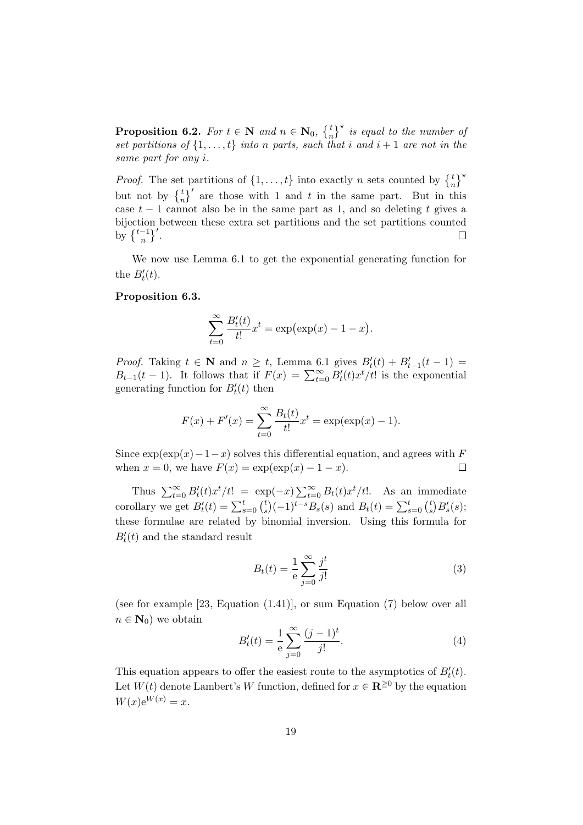**Proposition 6.2.** For  $t \in \mathbb{N}$  and  $n \in \mathbb{N}_0$ ,  $\begin{Bmatrix} t \\ n \end{Bmatrix}^{\star}$  is equal to the number of set partitions of  $\{1, \ldots, t\}$  into n parts, such that i and  $i + 1$  are not in the same part for any i.

*Proof.* The set partitions of  $\{1, \ldots, t\}$  into exactly n sets counted by  $\begin{Bmatrix} t \\ n \end{Bmatrix}^*$ but not by  $\begin{Bmatrix} t \\ n \end{Bmatrix}$  are those with 1 and t in the same part. But in this case  $t-1$  cannot also be in the same part as 1, and so deleting t gives a bijection between these extra set partitions and the set partitions counted by  $\left\{\frac{t-1}{n}\right\}$ '.  $\Box$ 

We now use Lemma 6.1 to get the exponential generating function for the  $B'_t(t)$ .

# Proposition 6.3.

$$
\sum_{t=0}^{\infty} \frac{B'_t(t)}{t!} x^t = \exp(\exp(x) - 1 - x).
$$

*Proof.* Taking  $t \in \mathbb{N}$  and  $n \geq t$ , Lemma 6.1 gives  $B'_t(t) + B'_{t-1}(t-1) =$  $B_{t-1}(t-1)$ . It follows that if  $F(x) = \sum_{t=0}^{\infty} B'_t(t) x^t/t!$  is the exponential generating function for  $B_t'(t)$  then

$$
F(x) + F'(x) = \sum_{t=0}^{\infty} \frac{B_t(t)}{t!} x^t = \exp(\exp(x) - 1).
$$

Since  $\exp(\exp(x)-1-x)$  solves this differential equation, and agrees with F when  $x = 0$ , we have  $F(x) = \exp(\exp(x) - 1 - x)$ .  $\Box$ 

Thus  $\sum_{t=0}^{\infty} B'_t(t) x^t/t! = \exp(-x) \sum_{t=0}^{\infty} B_t(t) x^t/t!$ . As an immediate corollary we get  $B_t'(t) = \sum_{s=0}^t {t \choose s}$  $s^{t}(s)(-1)^{t-s}B_{s}(s)$  and  $B_{t}(t) = \sum_{s=0}^{t} {t \choose s}$  $\binom{t}{s} B'_{s}(s);$ these formulae are related by binomial inversion. Using this formula for  $B_t'(t)$  and the standard result

$$
B_t(t) = \frac{1}{e} \sum_{j=0}^{\infty} \frac{j^t}{j!}
$$
 (3)

(see for example [23, Equation (1.41)], or sum Equation (7) below over all  $n \in \mathbf{N}_0$  we obtain

$$
B'_t(t) = \frac{1}{e} \sum_{j=0}^{\infty} \frac{(j-1)^t}{j!}.
$$
 (4)

This equation appears to offer the easiest route to the asymptotics of  $B_t'(t)$ . Let  $W(t)$  denote Lambert's W function, defined for  $x \in \mathbb{R}^{\geq 0}$  by the equation  $W(x)e^{W(x)} = x.$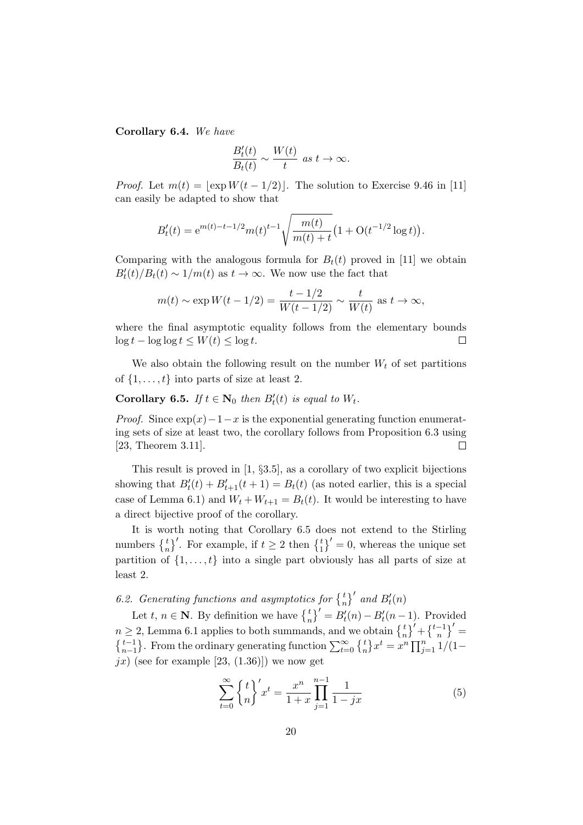Corollary 6.4. We have

$$
\frac{B'_t(t)}{B_t(t)} \sim \frac{W(t)}{t} \text{ as } t \to \infty.
$$

*Proof.* Let  $m(t) = |\exp W(t - 1/2)|$ . The solution to Exercise 9.46 in [11] can easily be adapted to show that

$$
B'_{t}(t) = e^{m(t)-t-1/2}m(t)^{t-1}\sqrt{\frac{m(t)}{m(t)+t}}\left(1+\mathrm{O}(t^{-1/2}\log t)\right).
$$

Comparing with the analogous formula for  $B_t(t)$  proved in [11] we obtain  $B_t'(t)/B_t(t) \sim 1/m(t)$  as  $t \to \infty$ . We now use the fact that

$$
m(t) \sim \exp W(t - 1/2) = \frac{t - 1/2}{W(t - 1/2)} \sim \frac{t}{W(t)} \text{ as } t \to \infty,
$$

where the final asymptotic equality follows from the elementary bounds  $\log t - \log \log t \leq W(t) \leq \log t.$  $\Box$ 

We also obtain the following result on the number  $W_t$  of set partitions of  $\{1, \ldots, t\}$  into parts of size at least 2.

**Corollary 6.5.** If  $t \in \mathbb{N}_0$  then  $B'_t(t)$  is equal to  $W_t$ .

*Proof.* Since  $exp(x)-1-x$  is the exponential generating function enumerating sets of size at least two, the corollary follows from Proposition 6.3 using [23, Theorem 3.11].  $\Box$ 

This result is proved in  $[1, §3.5]$ , as a corollary of two explicit bijections showing that  $B_t'(t) + B_{t+1}'(t+1) = B_t(t)$  (as noted earlier, this is a special case of Lemma 6.1) and  $W_t + W_{t+1} = B_t(t)$ . It would be interesting to have a direct bijective proof of the corollary.

It is worth noting that Corollary 6.5 does not extend to the Stirling numbers  $\begin{Bmatrix} t \\ n \end{Bmatrix}$ . For example, if  $t \geq 2$  then  $\begin{Bmatrix} t \\ 1 \end{Bmatrix}$  = 0, whereas the unique set partition of  $\{1, \ldots, t\}$  into a single part obviously has all parts of size at least 2.

6.2. Generating functions and asymptotics for  $\begin{Bmatrix} t \\ n \end{Bmatrix}$  and  $B'_t(n)$ 

Let  $t, n \in \mathbb{N}$ . By definition we have  $\begin{Bmatrix} t \\ n \end{Bmatrix}^t = B_t^t(n) - B_t^t(n-1)$ . Provided Let  $i, n \in \mathbb{N}$ . By definition we have  $\begin{cases} \frac{n}{n} - D_t(n) - D_t(n-1) & \text{if } t \leq n \\ n \end{cases}$ <br>  $n \geq 2$ , Lemma 6.1 applies to both summands, and we obtain  $\begin{cases} \frac{t}{n} \\ \frac{t}{n} \end{cases} + \begin{cases} \frac{t-1}{n} \\ \frac{t}{n} \end{cases}$  $\{t-1\atop n-1\}$ . From the ordinary generating function  $\sum_{t=0}^{\infty} \{t\atop n\} x^t = x^n \prod_{j=1}^n 1/(1-x)^{j-1}$  $jx$ ) (see for example [23, (1.36)]) we now get

$$
\sum_{t=0}^{\infty} \left\{ \frac{t}{n} \right\}' x^t = \frac{x^n}{1+x} \prod_{j=1}^{n-1} \frac{1}{1-jx} \tag{5}
$$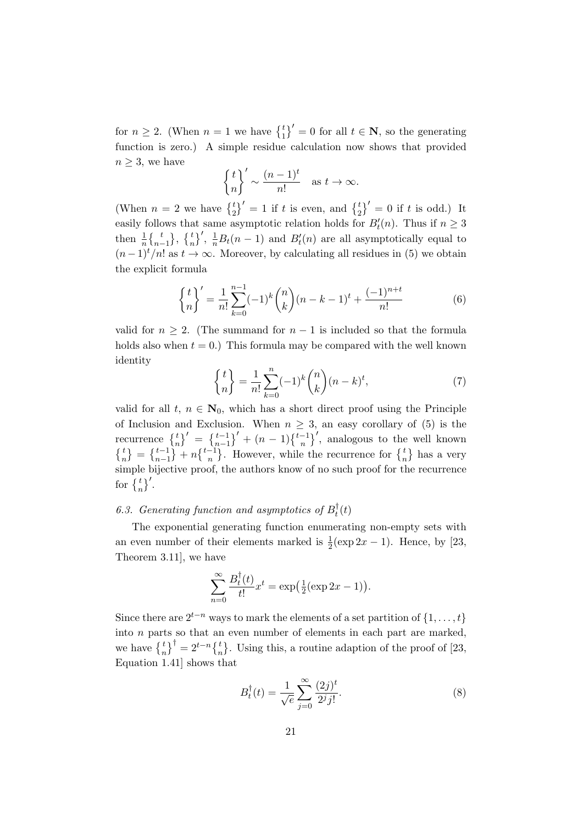for  $n \geq 2$ . (When  $n = 1$  we have  $\begin{pmatrix} t \\ 1 \end{pmatrix}' = 0$  for all  $t \in \mathbb{N}$ , so the generating function is zero.) A simple residue calculation now shows that provided  $n \geq 3$ , we have

$$
\left\{\frac{t}{n}\right\}' \sim \frac{(n-1)^t}{n!} \quad \text{as } t \to \infty.
$$

(When  $n = 2$  we have  $\begin{pmatrix} t \\ 2 \end{pmatrix}' = 1$  if t is even, and  $\begin{pmatrix} t \\ 2 \end{pmatrix}' = 0$  if t is odd.) It easily follows that same asymptotic relation holds for  $B_t'(n)$ . Thus if  $n \geq 3$ then  $\frac{1}{n} \begin{Bmatrix} t \\ n-1 \end{Bmatrix}$ ,  $\begin{Bmatrix} t \\ n \end{Bmatrix}'$ ,  $\frac{1}{n} B_t(n-1)$  and  $B'_t(n)$  are all asymptotically equal to  $(n-1)^t/n!$  as  $t \to \infty$ . Moreover, by calculating all residues in (5) we obtain the explicit formula

$$
\left\{\frac{t}{n}\right\}' = \frac{1}{n!} \sum_{k=0}^{n-1} (-1)^k \binom{n}{k} (n-k-1)^t + \frac{(-1)^{n+t}}{n!}
$$
(6)

valid for  $n \geq 2$ . (The summand for  $n-1$  is included so that the formula holds also when  $t = 0$ .) This formula may be compared with the well known identity

$$
\binom{t}{n} = \frac{1}{n!} \sum_{k=0}^{n} (-1)^k \binom{n}{k} (n-k)^t,
$$
\n(7)

valid for all t,  $n \in \mathbb{N}_0$ , which has a short direct proof using the Principle of Inclusion and Exclusion. When  $n \geq 3$ , an easy corollary of (5) is the recurrence  $\begin{Bmatrix} t \\ n \end{Bmatrix}' = \begin{Bmatrix} t-1 \\ n-1 \end{Bmatrix}' + (n-1)\begin{Bmatrix} t-1 \\ n \end{Bmatrix}'$ , analogous to the well known  $\{n \atop n \} = \{n-1 \atop n-1 \} + n \{n-1 \atop n \}$ . However, while the recurrence for  $\{n \atop n \}$  has a very simple bijective proof, the authors know of no such proof for the recurrence for  $\left\{\frac{t}{n}\right\}^{\prime}$ .

#### 6.3. Generating function and asymptotics of  $B_t^{\dagger}$  $t'(t)$

The exponential generating function enumerating non-empty sets with an even number of their elements marked is  $\frac{1}{2}(\exp 2x - 1)$ . Hence, by [23, Theorem 3.11], we have

$$
\sum_{n=0}^{\infty} \frac{B_t^{\dagger}(t)}{t!} x^t = \exp\left(\frac{1}{2}(\exp 2x - 1)\right).
$$

Since there are  $2^{t-n}$  ways to mark the elements of a set partition of  $\{1, \ldots, t\}$ into n parts so that an even number of elements in each part are marked, we have  $\begin{Bmatrix} t \\ n \end{Bmatrix}^{\dagger} = 2^{t-n} \begin{Bmatrix} t \\ n \end{Bmatrix}$ . Using this, a routine adaption of the proof of [23, Equation 1.41] shows that

$$
B_t^{\dagger}(t) = \frac{1}{\sqrt{e}} \sum_{j=0}^{\infty} \frac{(2j)^t}{2^j j!}.
$$
 (8)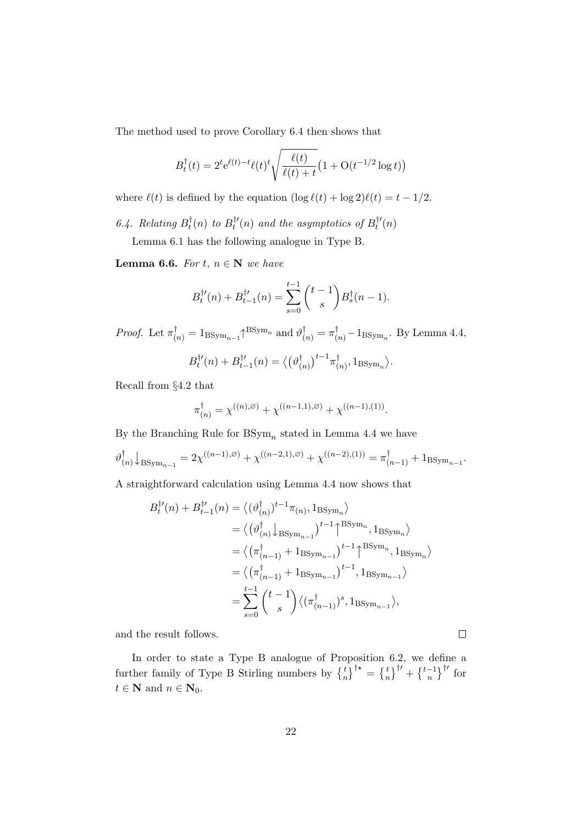The method used to prove Corollary 6.4 then shows that

$$
B_t^{\dagger}(t) = 2^t e^{\ell(t) - t} \ell(t)^t \sqrt{\frac{\ell(t)}{\ell(t) + t}} \left(1 + O(t^{-1/2} \log t)\right)
$$

where  $\ell(t)$  is defined by the equation  $(\log \ell(t) + \log 2)\ell(t) = t - 1/2$ .

6.4. Relating  $B_t^{\dagger}$  $t^{\dagger}(n)$  to  $B^{\dagger \prime}_t$  $t^{ \dagger \prime }_{ t } (n)$  and the asymptotics of  $B_{t}^{ \dagger \prime }$  $t'(n)$ 

Lemma 6.1 has the following analogue in Type B.

Lemma 6.6. For  $t, n \in \mathbb{N}$  we have

$$
B_t^{\dagger \prime}(n) + B_{t-1}^{\dagger \prime}(n) = \sum_{s=0}^{t-1} {t-1 \choose s} B_s^{\dagger}(n-1).
$$

*Proof.* Let  $\pi_{(n)}^{\dagger} = 1_{\text{BSym}_{n-1}} \uparrow^{\text{BSym}_n}$  and  $\vartheta_{(n)}^{\dagger} = \pi_{(n)}^{\dagger} - 1_{\text{BSym}_n}$ . By Lemma 4.4,

$$
B_t^{\dagger\prime}(n) + B_{t-1}^{\dagger\prime}(n) = \langle (\vartheta_{(n)}^\dagger)^{t-1} \pi_{(n)}^\dagger, 1_{\text{BSym}_n} \rangle.
$$

Recall from §4.2 that

$$
\pi_{(n)}^{\dagger} = \chi^{((n),\varnothing)} + \chi^{((n-1,1),\varnothing)} + \chi^{((n-1),(1))}.
$$

By the Branching Rule for  $BSym_n$  stated in Lemma 4.4 we have

$$
\vartheta_{(n)}^{\dagger} \big\downarrow_{\mathrm{BSym}_{n-1}} = 2\chi^{((n-1),\varnothing)} + \chi^{((n-2,1),\varnothing)} + \chi^{((n-2),(1))} = \pi_{(n-1)}^{\dagger} + 1_{\mathrm{BSym}_{n-1}}.
$$

A straightforward calculation using Lemma 4.4 now shows that

$$
B_t^{\dagger\prime}(n) + B_{t-1}^{\dagger\prime}(n) = \langle (\vartheta_{(n)}^{\dagger})^{t-1} \pi_{(n)}, 1_{\text{BSym}_n} \rangle
$$
  
\n
$$
= \langle (\vartheta_{(n)}^{\dagger})_{\text{BSym}_{n-1}} \rangle^{t-1} \uparrow^{\text{BSym}_n}, 1_{\text{BSym}_n} \rangle
$$
  
\n
$$
= \langle (\pi_{(n-1)}^{\dagger} + 1_{\text{BSym}_{n-1}})^{t-1} \uparrow^{\text{BSym}_n}, 1_{\text{BSym}_n} \rangle
$$
  
\n
$$
= \langle (\pi_{(n-1)}^{\dagger} + 1_{\text{BSym}_{n-1}})^{t-1}, 1_{\text{BSym}_{n-1}} \rangle
$$
  
\n
$$
= \sum_{s=0}^{t-1} {t-1 \choose s} \langle (\pi_{(n-1)}^{\dagger})^s, 1_{\text{BSym}_{n-1}} \rangle,
$$

and the result follows.

In order to state a Type B analogue of Proposition 6.2, we define a further family of Type B Stirling numbers by  $\begin{bmatrix} t \\ n \end{bmatrix}^{\dagger\star} = \begin{bmatrix} t \\ n \end{bmatrix}^{\dagger\prime} + \begin{bmatrix} t-1 \\ n \end{bmatrix}^{\dagger\prime}$  for  $t \in \mathbf{N}$  and  $n \in \mathbf{N}_0$ .

 $\Box$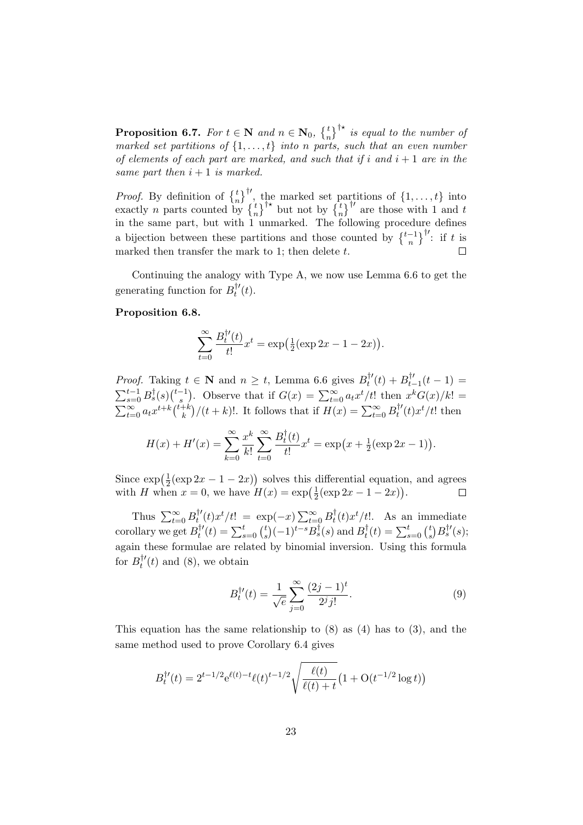**Proposition 6.7.** For  $t \in \mathbb{N}$  and  $n \in \mathbb{N}_0$ ,  $\begin{cases} t \\ n \end{cases}^{\dagger\star}$  is equal to the number of marked set partitions of  $\{1, \ldots, t\}$  into n parts, such that an even number of elements of each part are marked, and such that if i and  $i + 1$  are in the same part then  $i + 1$  is marked.

*Proof.* By definition of  $\begin{Bmatrix} t \\ n \end{Bmatrix}^{\dagger\prime}$ , the marked set partitions of  $\{1, \ldots, t\}$  into exactly *n* parts counted by  $\begin{Bmatrix} t \\ n \end{Bmatrix}^{\dagger\star}$  but not by  $\begin{Bmatrix} t \\ n \end{Bmatrix}^{\dagger\prime}$  are those with 1 and t in the same part, but with 1 unmarked. The following procedure defines a bijection between these partitions and those counted by  $\{\frac{t-1}{n}\}^{\dagger}$ : if t is marked then transfer the mark to 1; then delete  $t$ .  $\Box$ 

Continuing the analogy with Type A, we now use Lemma 6.6 to get the generating function for  $B_t^{\dagger}$  $t'(t).$ 

#### Proposition 6.8.

$$
\sum_{t=0}^{\infty} \frac{B_t^{\dagger t}(t)}{t!} x^t = \exp\left(\frac{1}{2} (\exp 2x - 1 - 2x)\right).
$$

*Proof.* Taking  $t \in \mathbb{N}$  and  $n \geq t$ , Lemma 6.6 gives  $B_t^{\dagger t}$  $b_t^{\dagger \prime}(t) + B_{t-}^{\dagger \prime}$  $t_{t-1}^{T'}(t-1) =$  $\sum_{s=0}^{t-1} B_s^{\dagger}(s) {\textstyle \binom{t-1}{s}}$  $s^{-1}$ ). Observe that if  $G(x) = \sum_{t=0}^{\infty} a_t x^t/t!$  then  $x^k G(x)/k! =$  $\sum_{t=0}^{\infty} a_t x^{t+k} \binom{t+k}{k}$  $\binom{+k}{k}/(t+k)!$ . It follows that if  $H(x) = \sum_{t=0}^{\infty} B_t^{\dagger}$  $t^{t'}(t)x^{t}/t!$  then

$$
H(x) + H'(x) = \sum_{k=0}^{\infty} \frac{x^k}{k!} \sum_{t=0}^{\infty} \frac{B_t^{\dagger}(t)}{t!} x^t = \exp(x + \frac{1}{2}(\exp 2x - 1)).
$$

Since  $\exp(\frac{1}{2})$  $\frac{1}{2}(\exp 2x - 1 - 2x)$  solves this differential equation, and agrees with H when  $x = 0$ , we have  $H(x) = \exp(\frac{1}{2})$  $\frac{1}{2}(\exp 2x - 1 - 2x)).$  $\Box$ 

Thus  $\sum_{t=0}^{\infty} B_t^{\dagger}$  $t''_t(t)x^t/t! = \exp(-x)\sum_{t=0}^{\infty} B_t^{\dagger}$  $t(t)x^{t}/t!$ . As an immediate corollary we get  $B_t^{\dagger}$  $t^{t'}(t) = \sum_{s=0}^{t} {t \choose s}$  $S^t_s$  $(-1)^{t-s} B_s^{\dagger}(s)$  and  $B_t^{\dagger}$  $t_t^{\dagger}(t)=\sum_{s=0}^t \binom{t_s}{s}$  $s^{\dagger}\Bigl(B_{s}^{\dagger\prime}(s);$ again these formulae are related by binomial inversion. Using this formula for  $B_t^{\dagger}$ '  $t'(t)$  and (8), we obtain

$$
B_t^{\dagger \prime}(t) = \frac{1}{\sqrt{e}} \sum_{j=0}^{\infty} \frac{(2j-1)^t}{2^j j!}.
$$
 (9)

This equation has the same relationship to  $(8)$  as  $(4)$  has to  $(3)$ , and the same method used to prove Corollary 6.4 gives

$$
B_t^{\dagger \prime}(t) = 2^{t-1/2} e^{\ell(t) - t} \ell(t)^{t-1/2} \sqrt{\frac{\ell(t)}{\ell(t) + t}} \left(1 + O(t^{-1/2} \log t)\right)
$$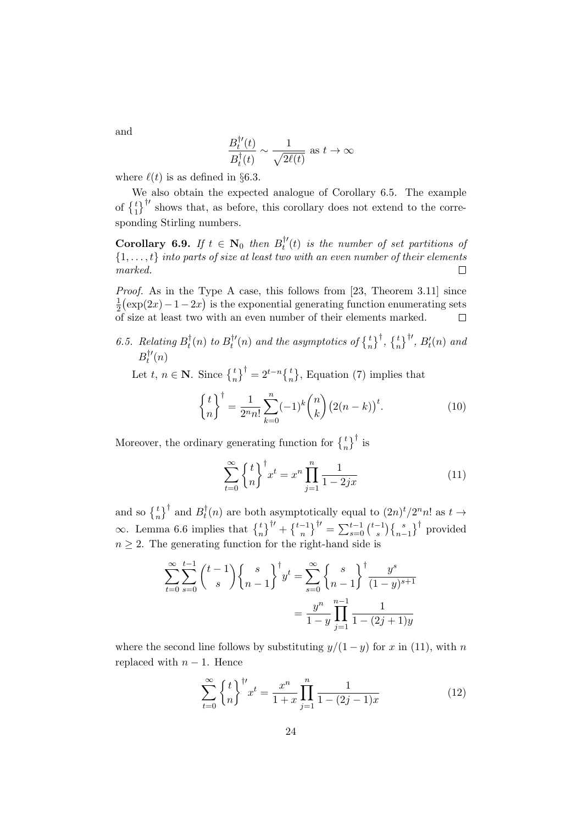$$
\frac{B_t^{\dagger \prime}(t)}{B_t^{\dagger}(t)} \sim \frac{1}{\sqrt{2\ell(t)}} \text{ as } t \to \infty
$$

where  $\ell(t)$  is as defined in §6.3.

We also obtain the expected analogue of Corollary 6.5. The example of  $\{\begin{bmatrix}t\\1\end{bmatrix}^{\dagger}$  shows that, as before, this corollary does not extend to the corresponding Stirling numbers.

Corollary 6.9. If  $t \in \mathbb{N}_0$  then  $B_t^{\dagger}$  $t''_t(t)$  is the number of set partitions of  $\{1, \ldots, t\}$  into parts of size at least two with an even number of their elements marked.  $\Box$ 

Proof. As in the Type A case, this follows from [23, Theorem 3.11] since 1  $\frac{1}{2}$ (exp(2x) – 1 – 2x) is the exponential generating function enumerating sets of size at least two with an even number of their elements marked.  $\Box$ 

6.5. Relating  $B_t^{\dagger}$  $t^{\dagger}_t(n)$  to  $B^{\dagger \prime}_t$  $\mathcal{L}_t^{\dagger\prime}(n)$  and the asymptotics of  $\left\{\frac{t}{n}\right\}^{\dagger}$ ,  $\left\{\frac{t}{n}\right\}^{\dagger\prime}$ ,  $B_t^{\prime}(n)$  and  $B_{t}^{\dagger \prime}$  $t'(n)$ 

Let  $t, n \in \mathbb{N}$ . Since  $\begin{Bmatrix} t \\ n \end{Bmatrix}^{\dagger} = 2^{t-n} \begin{Bmatrix} t \\ n \end{Bmatrix}$ , Equation (7) implies that

$$
\binom{t}{n}^{\dagger} = \frac{1}{2^n n!} \sum_{k=0}^n (-1)^k \binom{n}{k} (2(n-k))^t.
$$
 (10)

Moreover, the ordinary generating function for  $\left\{t_n^t\right\}^{\dagger}$  is

$$
\sum_{t=0}^{\infty} \binom{t}{n}^{\dagger} x^{t} = x^{n} \prod_{j=1}^{n} \frac{1}{1 - 2jx}
$$
 (11)

and so  $\left\{t\atop n\right\}^{\dagger}$  and  $B_t^{\dagger}$  $t^{\dagger}(n)$  are both asymptotically equal to  $(2n)^t/2^n n!$  as  $t \to$ ∞. Lemma 6.6 implies that  $\begin{bmatrix} t \\ n \end{bmatrix}^{\dagger} + \begin{bmatrix} t^{-1} \\ n \end{bmatrix}^{\dagger} = \sum_{s=0}^{t-1} \begin{bmatrix} t^{-1} \\ s \end{bmatrix}$  $\binom{-1}{s} \left\{ \frac{s}{n-1} \right\}^{\dagger}$  provided  $n \geq 2$ . The generating function for the right-hand side is

$$
\sum_{t=0}^{\infty} \sum_{s=0}^{t-1} {t-1 \choose s} {s \choose n-1}^{\dagger} y^t = \sum_{s=0}^{\infty} {s \choose n-1}^{\dagger} \frac{y^s}{(1-y)^{s+1}}
$$

$$
= \frac{y^n}{1-y} \prod_{j=1}^{n-1} \frac{1}{1-(2j+1)y}
$$

where the second line follows by substituting  $y/(1-y)$  for x in (11), with n replaced with  $n-1$ . Hence

$$
\sum_{t=0}^{\infty} \left\{ \frac{t}{n} \right\}^{\dagger t} x^{t} = \frac{x^{n}}{1+x} \prod_{j=1}^{n} \frac{1}{1 - (2j - 1)x}
$$
(12)

and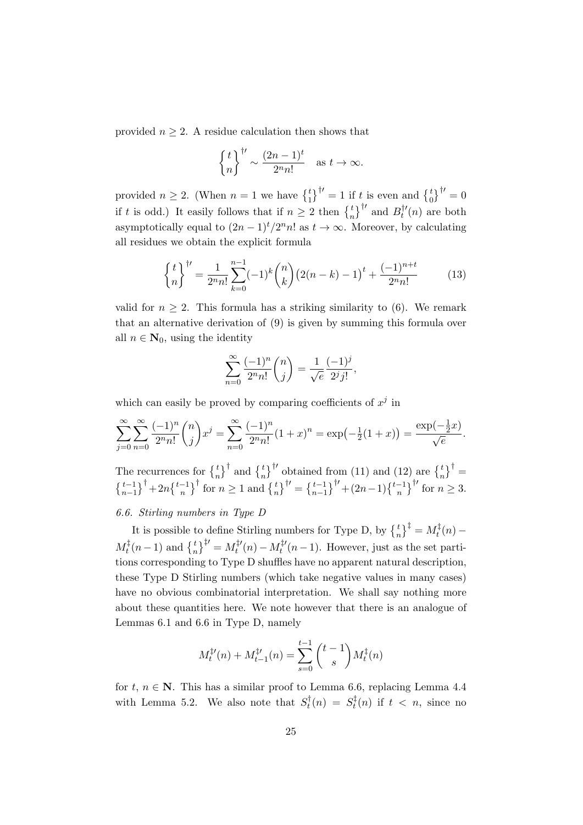provided  $n \geq 2$ . A residue calculation then shows that

$$
\left\{\frac{t}{n}\right\}^{\dagger\prime} \sim \frac{(2n-1)^t}{2^n n!} \quad \text{as } t \to \infty.
$$

provided  $n \geq 2$ . (When  $n = 1$  we have  $\begin{pmatrix} t \\ 1 \end{pmatrix}^{\dagger} = 1$  if t is even and  $\begin{pmatrix} t \\ 0 \end{pmatrix}^{\dagger} = 0$ if t is odd.) It easily follows that if  $n \geq 2$  then  $\binom{t}{n}^{\dagger}$  and  $B_t^{\dagger}$  $t''_t(n)$  are both asymptotically equal to  $(2n-1)^t/2^n n!$  as  $t \to \infty$ . Moreover, by calculating all residues we obtain the explicit formula

$$
\begin{Bmatrix} t \\ n \end{Bmatrix}^{\dagger\prime} = \frac{1}{2^n n!} \sum_{k=0}^{n-1} (-1)^k \binom{n}{k} \left( 2(n-k) - 1 \right)^t + \frac{(-1)^{n+t}}{2^n n!} \tag{13}
$$

valid for  $n \geq 2$ . This formula has a striking similarity to (6). We remark that an alternative derivation of (9) is given by summing this formula over all  $n \in \mathbb{N}_0$ , using the identity

$$
\sum_{n=0}^{\infty} \frac{(-1)^n}{2^n n!} {n \choose j} = \frac{1}{\sqrt{e}} \frac{(-1)^j}{2^j j!},
$$

which can easily be proved by comparing coefficients of  $x^j$  in

$$
\sum_{j=0}^{\infty} \sum_{n=0}^{\infty} \frac{(-1)^n}{2^n n!} \binom{n}{j} x^j = \sum_{n=0}^{\infty} \frac{(-1)^n}{2^n n!} (1+x)^n = \exp\left(-\frac{1}{2}(1+x)\right) = \frac{\exp(-\frac{1}{2}x)}{\sqrt{e}}.
$$

The recurrences for  $\begin{Bmatrix} t \\ n \end{Bmatrix}^{\dagger}$  and  $\begin{Bmatrix} t \\ n \end{Bmatrix}^{\dagger}$  obtained from (11) and (12) are  $\begin{Bmatrix} t \\ n \end{Bmatrix}^{\dagger}$  $\{t-1\atop n-1\}^{\dagger}+2n\{t-1\atop n\}^{\dagger}$  for  $n\geq 1$  and  $\{t\atop n\}^{\dagger\prime}=\{t-1\atop n-1\}^{\dagger\prime}+(2n-1)\{t-1\atop n\}^{\dagger\prime}$  for  $n\geq 3$ .

### 6.6. Stirling numbers in Type D

It is possible to define Stirling numbers for Type D, by  $\left\{t_n^t\right\}^\ddagger = M_t^\ddagger$  $t^{\ddagger}(n)$  —  $M_t^{\ddagger}$  $t_t^{\ddag}(n-1)$  and  $\left\{t_n\right\}^{\ddag \prime} = M_t^{\ddag \prime}$  $t^{t}$ <sup>t</sup> $(n) - M_t^{\ddagger}$ <sup>t</sup>  $t_t^{\mu}(n-1)$ . However, just as the set partitions corresponding to Type D shuffles have no apparent natural description, these Type D Stirling numbers (which take negative values in many cases) have no obvious combinatorial interpretation. We shall say nothing more about these quantities here. We note however that there is an analogue of Lemmas 6.1 and 6.6 in Type D, namely

$$
M_t^{\ddagger \prime}(n) + M_{t-1}^{\ddagger \prime}(n) = \sum_{s=0}^{t-1} {t-1 \choose s} M_t^{\ddagger}(n)
$$

for t,  $n \in \mathbb{N}$ . This has a similar proof to Lemma 6.6, replacing Lemma 4.4 with Lemma 5.2. We also note that  $S_t^{\dagger}$  $S_t^{\dagger}(n) = S_t^{\ddagger}$  $t<sup>t</sup>(n)$  if  $t < n$ , since no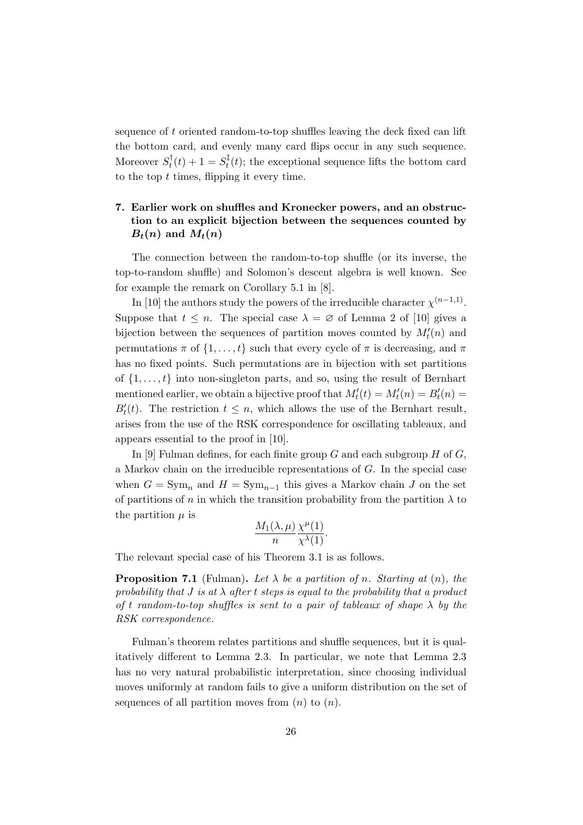sequence of t oriented random-to-top shuffles leaving the deck fixed can lift the bottom card, and evenly many card flips occur in any such sequence. Moreover  $S_t^{\dagger}$  $S_t^{\dagger}(t) + 1 = S_t^{\ddagger}$  $t<sub>t</sub><sup>t</sup>(t)$ ; the exceptional sequence lifts the bottom card to the top  $t$  times, flipping it every time.

# 7. Earlier work on shuffles and Kronecker powers, and an obstruction to an explicit bijection between the sequences counted by  $B_t(n)$  and  $M_t(n)$

The connection between the random-to-top shuffle (or its inverse, the top-to-random shuffle) and Solomon's descent algebra is well known. See for example the remark on Corollary 5.1 in [8].

In [10] the authors study the powers of the irreducible character  $\chi^{(n-1,1)}$ . Suppose that  $t \leq n$ . The special case  $\lambda = \emptyset$  of Lemma 2 of [10] gives a bijection between the sequences of partition moves counted by  $M_t'(n)$  and permutations  $\pi$  of  $\{1, \ldots, t\}$  such that every cycle of  $\pi$  is decreasing, and  $\pi$ has no fixed points. Such permutations are in bijection with set partitions of  $\{1, \ldots, t\}$  into non-singleton parts, and so, using the result of Bernhart mentioned earlier, we obtain a bijective proof that  $M'_t(t) = M'_t(n) = B'_t(n)$  $B_t'(t)$ . The restriction  $t \leq n$ , which allows the use of the Bernhart result, arises from the use of the RSK correspondence for oscillating tableaux, and appears essential to the proof in [10].

In [9] Fulman defines, for each finite group  $G$  and each subgroup  $H$  of  $G$ , a Markov chain on the irreducible representations of G. In the special case when  $G = \text{Sym}_n$  and  $H = \text{Sym}_{n-1}$  this gives a Markov chain J on the set of partitions of n in which the transition probability from the partition  $\lambda$  to the partition  $\mu$  is

$$
\frac{M_1(\lambda,\mu)}{n}\frac{\chi^{\mu}(1)}{\chi^{\lambda}(1)}.
$$

The relevant special case of his Theorem 3.1 is as follows.

**Proposition 7.1** (Fulman). Let  $\lambda$  be a partition of n. Starting at  $(n)$ , the probability that  $J$  is at  $\lambda$  after t steps is equal to the probability that a product of t random-to-top shuffles is sent to a pair of tableaux of shape  $\lambda$  by the RSK correspondence.

Fulman's theorem relates partitions and shuffle sequences, but it is qualitatively different to Lemma 2.3. In particular, we note that Lemma 2.3 has no very natural probabilistic interpretation, since choosing individual moves uniformly at random fails to give a uniform distribution on the set of sequences of all partition moves from  $(n)$  to  $(n)$ .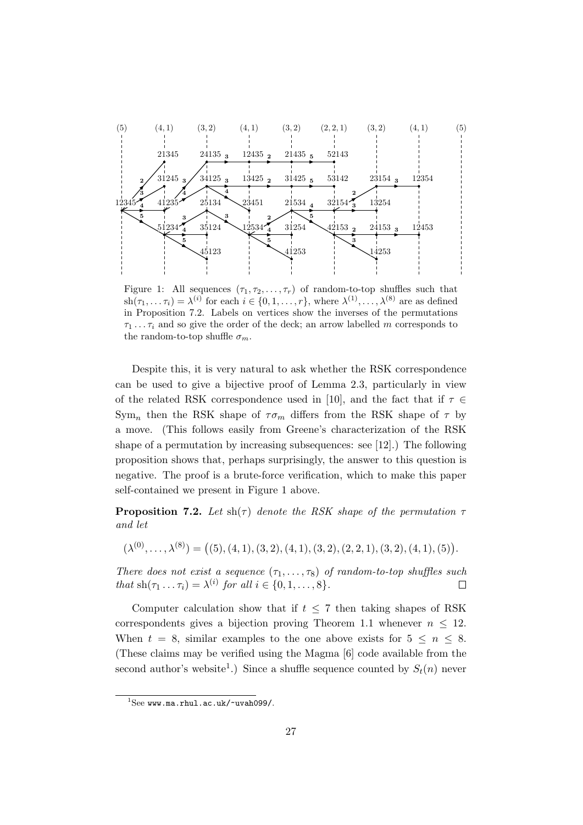

Figure 1: All sequences  $(\tau_1, \tau_2, \ldots, \tau_r)$  of random-to-top shuffles such that  $\sh(\tau_1,\ldots\tau_i) = \lambda^{(i)}$  for each  $i \in \{0,1,\ldots,r\}$ , where  $\lambda^{(1)},\ldots,\lambda^{(8)}$  are as defined in Proposition 7.2. Labels on vertices show the inverses of the permutations  $\tau_1 \ldots \tau_i$  and so give the order of the deck; an arrow labelled m corresponds to the random-to-top shuffle  $\sigma_m$ .

Despite this, it is very natural to ask whether the RSK correspondence can be used to give a bijective proof of Lemma 2.3, particularly in view of the related RSK correspondence used in [10], and the fact that if  $\tau \in$  $\text{Sym}_n$  then the RSK shape of  $\tau \sigma_m$  differs from the RSK shape of  $\tau$  by a move. (This follows easily from Greene's characterization of the RSK shape of a permutation by increasing subsequences: see [12].) The following proposition shows that, perhaps surprisingly, the answer to this question is negative. The proof is a brute-force verification, which to make this paper self-contained we present in Figure 1 above.

**Proposition 7.2.** Let  $\text{sh}(\tau)$  denote the RSK shape of the permutation  $\tau$ and let

$$
(\lambda^{(0)}, \ldots, \lambda^{(8)}) = ((5), (4, 1), (3, 2), (4, 1), (3, 2), (2, 2, 1), (3, 2), (4, 1), (5)).
$$

There does not exist a sequence  $(\tau_1, \ldots, \tau_8)$  of random-to-top shuffles such that  $\text{sh}(\tau_1 \dots \tau_i) = \lambda^{(i)}$  for all  $i \in \{0, 1, \dots, 8\}.$  $\Box$ 

Computer calculation show that if  $t \leq 7$  then taking shapes of RSK correspondents gives a bijection proving Theorem 1.1 whenever  $n \leq 12$ . When  $t = 8$ , similar examples to the one above exists for  $5 \leq n \leq 8$ . (These claims may be verified using the Magma [6] code available from the second author's website<sup>1</sup>.) Since a shuffle sequence counted by  $S_t(n)$  never

See www.ma.rhul.ac.uk/~uvah099/.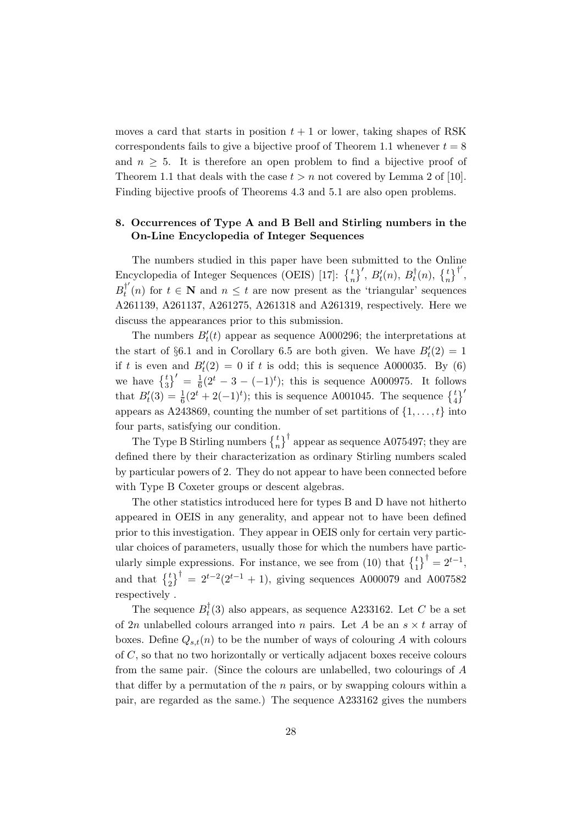moves a card that starts in position  $t + 1$  or lower, taking shapes of RSK correspondents fails to give a bijective proof of Theorem 1.1 whenever  $t = 8$ and  $n \geq 5$ . It is therefore an open problem to find a bijective proof of Theorem 1.1 that deals with the case  $t > n$  not covered by Lemma 2 of [10]. Finding bijective proofs of Theorems 4.3 and 5.1 are also open problems.

# 8. Occurrences of Type A and B Bell and Stirling numbers in the On-Line Encyclopedia of Integer Sequences

The numbers studied in this paper have been submitted to the Online Encyclopedia of Integer Sequences (OEIS) [17]:  $\{^t_n\}'$ ,  $B'_t(n)$ ,  $B_t^{\dagger}$  $\begin{bmatrix} t \\ t \end{bmatrix}$  (n),  $\begin{Bmatrix} t \\ n \end{Bmatrix}^{\dagger}$ ',  $B_t^{\dagger'}$  $t_t^{\top}(n)$  for  $t \in \mathbb{N}$  and  $n \leq t$  are now present as the 'triangular' sequences A261139, A261137, A261275, A261318 and A261319, respectively. Here we discuss the appearances prior to this submission.

The numbers  $B_t'(t)$  appear as sequence A000296; the interpretations at the start of §6.1 and in Corollary 6.5 are both given. We have  $B_t'(2) = 1$ if t is even and  $B_t'(2) = 0$  if t is odd; this is sequence A000035. By (6) we have  $\left\{\frac{t}{3}\right\}' = \frac{1}{6}$  $\frac{1}{6}(2^t-3-(-1)^t)$ ; this is sequence A000975. It follows that  $B'_t(3) = \frac{1}{6}(2^t + 2(-1)^t)$ ; this is sequence A001045. The sequence  $\begin{Bmatrix} t \\ 4 \end{Bmatrix}'$ appears as A243869, counting the number of set partitions of  $\{1, \ldots, t\}$  into four parts, satisfying our condition.

The Type B Stirling numbers  $\left\{\frac{t}{n}\right\}^{\dagger}$  appear as sequence A075497; they are defined there by their characterization as ordinary Stirling numbers scaled by particular powers of 2. They do not appear to have been connected before with Type B Coxeter groups or descent algebras.

The other statistics introduced here for types B and D have not hitherto appeared in OEIS in any generality, and appear not to have been defined prior to this investigation. They appear in OEIS only for certain very particular choices of parameters, usually those for which the numbers have particularly simple expressions. For instance, we see from (10) that  $\begin{Bmatrix} t \\ 1 \end{Bmatrix}^{\dagger} = 2^{t-1}$ , and that  $\begin{pmatrix} t \\ 2 \end{pmatrix}^{\dagger} = 2^{t-2}(2^{t-1} + 1)$ , giving sequences A000079 and A007582 respectively .

The sequence  $B_t^{\dagger}$  $t<sub>t</sub><sup>t</sup>(3)$  also appears, as sequence A233162. Let C be a set of 2n unlabelled colours arranged into n pairs. Let A be an  $s \times t$  array of boxes. Define  $Q_{s,t}(n)$  to be the number of ways of colouring A with colours of C, so that no two horizontally or vertically adjacent boxes receive colours from the same pair. (Since the colours are unlabelled, two colourings of A that differ by a permutation of the  $n$  pairs, or by swapping colours within a pair, are regarded as the same.) The sequence A233162 gives the numbers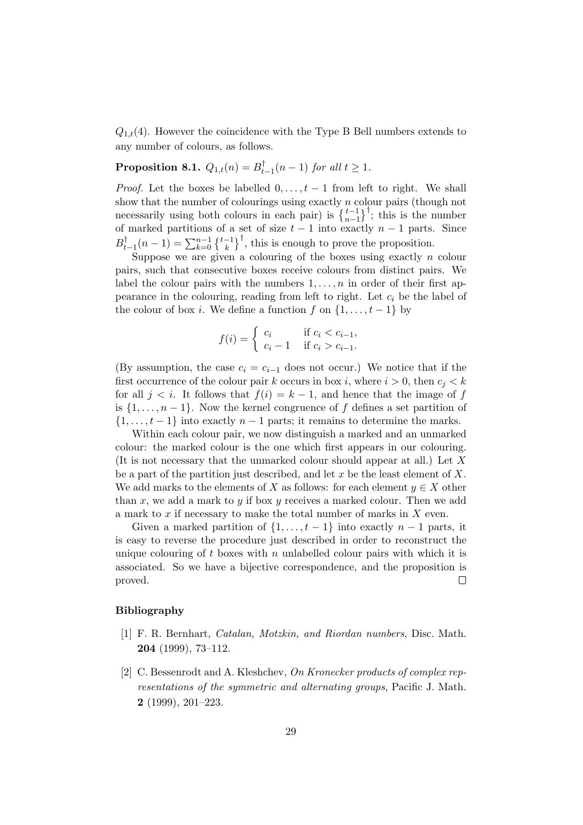$Q_{1,t}(4)$ . However the coincidence with the Type B Bell numbers extends to any number of colours, as follows.

 $\textbf{Proposition 8.1.} \ \ Q_{1,t}(n) = B_t^\dagger$  $t_{t-1}$  $(n-1)$  for all  $t \geq 1$ .

*Proof.* Let the boxes be labelled  $0, \ldots, t-1$  from left to right. We shall show that the number of colourings using exactly  $n$  colour pairs (though not necessarily using both colours in each pair) is  $\left\{\frac{t-1}{n-1}\right\}^{\dagger}$ ; this is the number of marked partitions of a set of size  $t - 1$  into exactly  $n - 1$  parts. Since  $B_t^\dagger$  $t_{t-1}^{\dagger}(n-1) = \sum_{k=0}^{n-1} {\{\frac{t-1}{k}\}}^{\dagger}$ , this is enough to prove the proposition.

Suppose we are given a colouring of the boxes using exactly  $n$  colour pairs, such that consecutive boxes receive colours from distinct pairs. We label the colour pairs with the numbers  $1, \ldots, n$  in order of their first appearance in the colouring, reading from left to right. Let  $c_i$  be the label of the colour of box *i*. We define a function f on  $\{1, \ldots, t-1\}$  by

$$
f(i) = \begin{cases} c_i & \text{if } c_i < c_{i-1}, \\ c_i - 1 & \text{if } c_i > c_{i-1}. \end{cases}
$$

(By assumption, the case  $c_i = c_{i-1}$  does not occur.) We notice that if the first occurrence of the colour pair k occurs in box i, where  $i > 0$ , then  $c_i < k$ for all  $j < i$ . It follows that  $f(i) = k - 1$ , and hence that the image of f is  $\{1, \ldots, n-1\}$ . Now the kernel congruence of f defines a set partition of  $\{1, \ldots, t-1\}$  into exactly  $n-1$  parts; it remains to determine the marks.

Within each colour pair, we now distinguish a marked and an unmarked colour: the marked colour is the one which first appears in our colouring. (It is not necessary that the unmarked colour should appear at all.) Let X be a part of the partition just described, and let  $x$  be the least element of  $X$ . We add marks to the elements of X as follows: for each element  $y \in X$  other than x, we add a mark to y if box y receives a marked colour. Then we add a mark to  $x$  if necessary to make the total number of marks in  $X$  even.

Given a marked partition of  $\{1, \ldots, t-1\}$  into exactly  $n-1$  parts, it is easy to reverse the procedure just described in order to reconstruct the unique colouring of  $t$  boxes with  $n$  unlabelled colour pairs with which it is associated. So we have a bijective correspondence, and the proposition is proved.  $\Box$ 

### Bibliography

- [1] F. R. Bernhart, Catalan, Motzkin, and Riordan numbers, Disc. Math. 204 (1999), 73–112.
- [2] C. Bessenrodt and A. Kleshchev, On Kronecker products of complex representations of the symmetric and alternating groups, Pacific J. Math. 2 (1999), 201–223.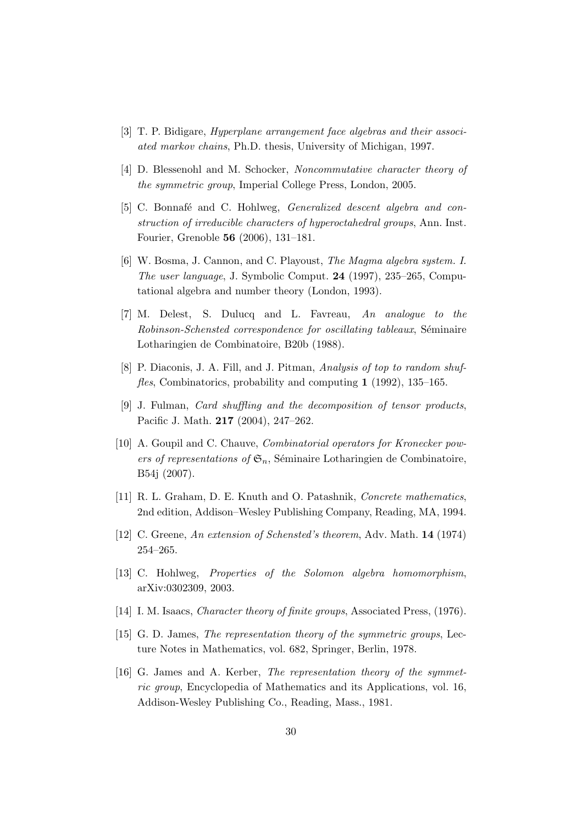- [3] T. P. Bidigare, Hyperplane arrangement face algebras and their associated markov chains, Ph.D. thesis, University of Michigan, 1997.
- [4] D. Blessenohl and M. Schocker, Noncommutative character theory of the symmetric group, Imperial College Press, London, 2005.
- [5] C. Bonnafé and C. Hohlweg, *Generalized descent algebra and con*struction of irreducible characters of hyperoctahedral groups, Ann. Inst. Fourier, Grenoble 56 (2006), 131–181.
- [6] W. Bosma, J. Cannon, and C. Playoust, The Magma algebra system. I. The user language, J. Symbolic Comput. 24 (1997), 235–265, Computational algebra and number theory (London, 1993).
- [7] M. Delest, S. Dulucq and L. Favreau, An analogue to the Robinson-Schensted correspondence for oscillating tableaux, Séminaire Lotharingien de Combinatoire, B20b (1988).
- [8] P. Diaconis, J. A. Fill, and J. Pitman, Analysis of top to random shuffles, Combinatorics, probability and computing 1 (1992), 135–165.
- [9] J. Fulman, Card shuffling and the decomposition of tensor products, Pacific J. Math. 217 (2004), 247–262.
- [10] A. Goupil and C. Chauve, *Combinatorial operators for Kronecker pow*ers of representations of  $\mathfrak{S}_n$ , Séminaire Lotharingien de Combinatoire, B54j (2007).
- [11] R. L. Graham, D. E. Knuth and O. Patashnik, *Concrete mathematics*, 2nd edition, Addison–Wesley Publishing Company, Reading, MA, 1994.
- [12] C. Greene, An extension of Schensted's theorem, Adv. Math. 14 (1974) 254–265.
- [13] C. Hohlweg, Properties of the Solomon algebra homomorphism, arXiv:0302309, 2003.
- [14] I. M. Isaacs, *Character theory of finite groups*, Associated Press, (1976).
- [15] G. D. James, The representation theory of the symmetric groups, Lecture Notes in Mathematics, vol. 682, Springer, Berlin, 1978.
- [16] G. James and A. Kerber, The representation theory of the symmetric group, Encyclopedia of Mathematics and its Applications, vol. 16, Addison-Wesley Publishing Co., Reading, Mass., 1981.